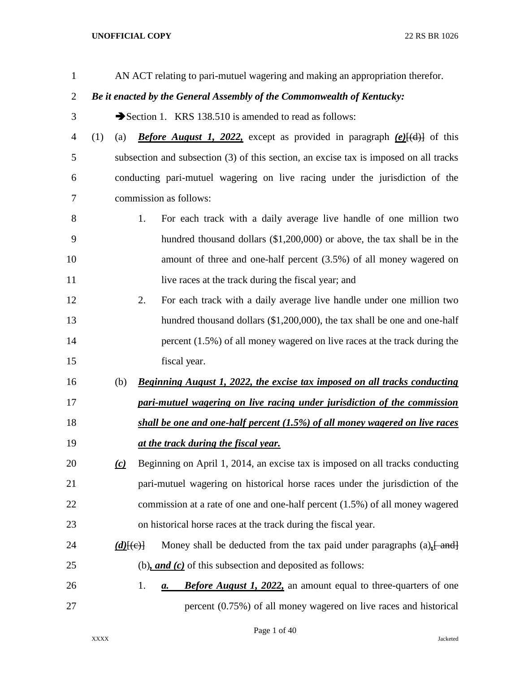| $\mathbf{1}$   |     |               |    | AN ACT relating to pari-mutuel wagering and making an appropriation therefor.         |
|----------------|-----|---------------|----|---------------------------------------------------------------------------------------|
| $\overline{2}$ |     |               |    | Be it enacted by the General Assembly of the Commonwealth of Kentucky:                |
| 3              |     |               |    | Section 1. KRS 138.510 is amended to read as follows:                                 |
| $\overline{4}$ | (1) | (a)           |    | <b>Before August 1, 2022,</b> except as provided in paragraph $(e)$ [(d)] of this     |
| 5              |     |               |    | subsection and subsection (3) of this section, an excise tax is imposed on all tracks |
| 6              |     |               |    | conducting pari-mutuel wagering on live racing under the jurisdiction of the          |
| 7              |     |               |    | commission as follows:                                                                |
| 8              |     |               | 1. | For each track with a daily average live handle of one million two                    |
| 9              |     |               |    | hundred thousand dollars $(\$1,200,000)$ or above, the tax shall be in the            |
| 10             |     |               |    | amount of three and one-half percent (3.5%) of all money wagered on                   |
| 11             |     |               |    | live races at the track during the fiscal year; and                                   |
| 12             |     |               | 2. | For each track with a daily average live handle under one million two                 |
| 13             |     |               |    | hundred thousand dollars (\$1,200,000), the tax shall be one and one-half             |
| 14             |     |               |    | percent $(1.5\%)$ of all money wagered on live races at the track during the          |
| 15             |     |               |    | fiscal year.                                                                          |
| 16             |     | (b)           |    | <b>Beginning August 1, 2022, the excise tax imposed on all tracks conducting</b>      |
| 17             |     |               |    | pari-mutuel wagering on live racing under jurisdiction of the commission              |
| 18             |     |               |    | shall be one and one-half percent (1.5%) of all money wagered on live races           |
| 19             |     |               |    | at the track during the fiscal year.                                                  |
| 20             |     | (c)           |    | Beginning on April 1, 2014, an excise tax is imposed on all tracks conducting         |
| 21             |     |               |    | pari-mutuel wagering on historical horse races under the jurisdiction of the          |
| 22             |     |               |    | commission at a rate of one and one-half percent (1.5%) of all money wagered          |
| 23             |     |               |    | on historical horse races at the track during the fiscal year.                        |
| 24             |     | $(d)$ $\{e\}$ |    | Money shall be deducted from the tax paid under paragraphs $(a)$ , $[$ and $]$        |
| 25             |     |               |    | (b), and $(c)$ of this subsection and deposited as follows:                           |
| 26             |     |               | 1. | <b>Before August 1, 2022,</b> an amount equal to three-quarters of one<br>а.          |
| 27             |     |               |    | percent (0.75%) of all money wagered on live races and historical                     |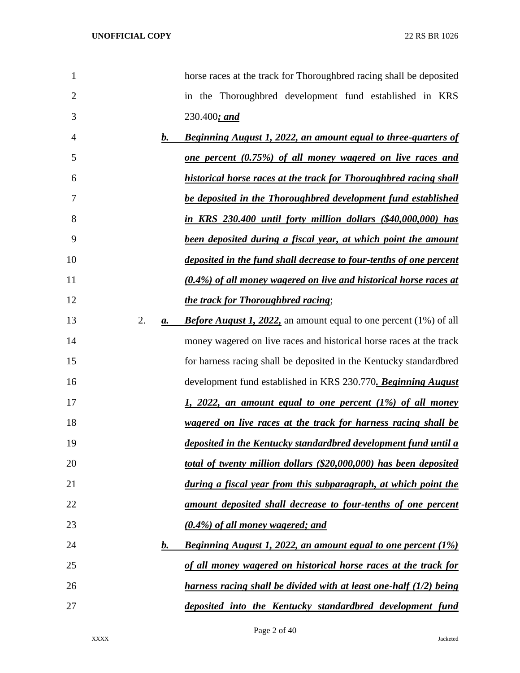| $\mathbf{1}$   |    |    | horse races at the track for Thoroughbred racing shall be deposited       |
|----------------|----|----|---------------------------------------------------------------------------|
| $\overline{2}$ |    |    | in the Thoroughbred development fund established in KRS                   |
| 3              |    |    | $230.400;$ and                                                            |
| 4              |    | b. | <b>Beginning August 1, 2022, an amount equal to three-quarters of</b>     |
| 5              |    |    | <u>one percent (0.75%) of all money wagered on live races and</u>         |
| 6              |    |    | historical horse races at the track for Thoroughbred racing shall         |
| 7              |    |    | be deposited in the Thoroughbred development fund established             |
| 8              |    |    | in KRS 230.400 until forty million dollars (\$40,000,000) has             |
| 9              |    |    | been deposited during a fiscal year, at which point the amount            |
| 10             |    |    | deposited in the fund shall decrease to four-tenths of one percent        |
| 11             |    |    | (0.4%) of all money wagered on live and historical horse races at         |
| 12             |    |    | the track for Thoroughbred racing;                                        |
| 13             | 2. | а. | <b>Before August 1, 2022,</b> an amount equal to one percent (1%) of all  |
| 14             |    |    | money wagered on live races and historical horse races at the track       |
| 15             |    |    | for harness racing shall be deposited in the Kentucky standardbred        |
| 16             |    |    | development fund established in KRS 230.770. Beginning August             |
| 17             |    |    | <u>1, 2022, an amount equal to one percent (1%) of all money</u>          |
| 18             |    |    | wagered on live races at the track for harness racing shall be            |
| 19             |    |    | deposited in the Kentucky standardbred development fund until a           |
| 20             |    |    | total of twenty million dollars (\$20,000,000) has been deposited         |
| 21             |    |    | during a fiscal year from this subparagraph, at which point the           |
| 22             |    |    | amount deposited shall decrease to four-tenths of one percent             |
| 23             |    |    | (0.4%) of all money wagered; and                                          |
| 24             |    | b. | <b>Beginning August 1, 2022, an amount equal to one percent (1%)</b>      |
| 25             |    |    | of all money wagered on historical horse races at the track for           |
| 26             |    |    | <u>harness racing shall be divided with at least one-half (1/2) being</u> |
| 27             |    |    | deposited into the Kentucky standardbred development fund                 |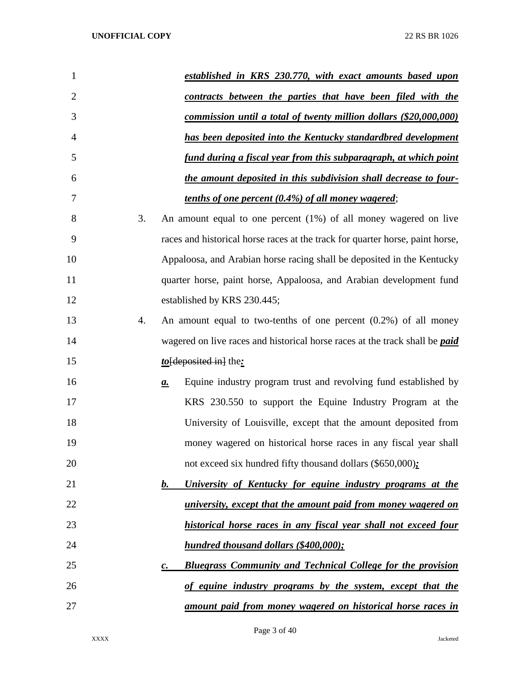| $\mathbf{1}$   |    | established in KRS 230.770, with exact amounts based upon                                |
|----------------|----|------------------------------------------------------------------------------------------|
| $\overline{2}$ |    | <u>contracts between the parties that have been filed with the</u>                       |
| 3              |    | commission until a total of twenty million dollars (\$20,000,000)                        |
| 4              |    | has been deposited into the Kentucky standardbred development                            |
| 5              |    | fund during a fiscal year from this subparagraph, at which point                         |
| 6              |    | the amount deposited in this subdivision shall decrease to four-                         |
| 7              |    | <u>tenths of one percent (0.4%) of all money wagered;</u>                                |
| 8              | 3. | An amount equal to one percent $(1%)$ of all money wagered on live                       |
| 9              |    | races and historical horse races at the track for quarter horse, paint horse,            |
| 10             |    | Appaloosa, and Arabian horse racing shall be deposited in the Kentucky                   |
| 11             |    | quarter horse, paint horse, Appaloosa, and Arabian development fund                      |
| 12             |    | established by KRS 230.445;                                                              |
| 13             | 4. | An amount equal to two-tenths of one percent $(0.2%)$ of all money                       |
| 14             |    | wagered on live races and historical horse races at the track shall be <i>paid</i>       |
| 15             |    | $to$ [deposited in] the:                                                                 |
| 16             |    | Equine industry program trust and revolving fund established by<br>$\mathbf{a}$ .        |
| 17             |    | KRS 230.550 to support the Equine Industry Program at the                                |
| 18             |    | University of Louisville, except that the amount deposited from                          |
| 19             |    | money wagered on historical horse races in any fiscal year shall                         |
| 20             |    | not exceed six hundred fifty thousand dollars (\$650,000);                               |
| 21             |    | b.<br>University of Kentucky for equine industry programs at the                         |
| 22             |    | university, except that the amount paid from money wagered on                            |
| 23             |    | historical horse races in any fiscal year shall not exceed four                          |
| 24             |    | hundred thousand dollars (\$400,000);                                                    |
| 25             |    | <b>Bluegrass Community and Technical College for the provision</b><br>$\boldsymbol{c}$ . |
| 26             |    | of equine industry programs by the system, except that the                               |
| 27             |    | amount paid from money wagered on historical horse races in                              |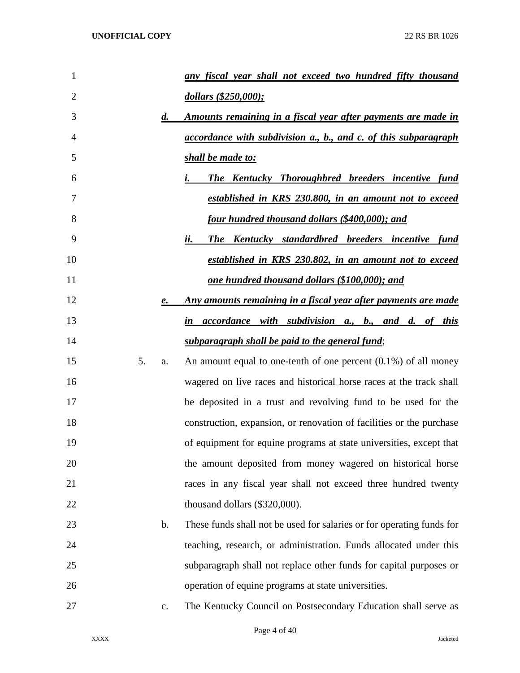| 1  |    |                    | any fiscal year shall not exceed two hundred fifty thousand                 |
|----|----|--------------------|-----------------------------------------------------------------------------|
| 2  |    |                    | dollars (\$250,000);                                                        |
| 3  |    | $\boldsymbol{d}$ . | <u>Amounts remaining in a fiscal year after payments are made in</u>        |
| 4  |    |                    | accordance with subdivision a., b., and c. of this subparagraph             |
| 5  |    |                    | shall be made to:                                                           |
| 6  |    |                    | <b>The Kentucky Thoroughbred breeders incentive fund</b>                    |
| 7  |    |                    | established in KRS 230.800, in an amount not to exceed                      |
| 8  |    |                    | <u>four hundred thousand dollars (\$400,000); and</u>                       |
| 9  |    |                    | <b>The Kentucky standardbred breeders incentive fund</b><br>ii.             |
| 10 |    |                    | established in KRS 230.802, in an amount not to exceed                      |
| 11 |    |                    | <u>one hundred thousand dollars (\$100,000); and</u>                        |
| 12 |    | e.                 | <u>Any amounts remaining in a fiscal year after payments are made</u>       |
| 13 |    |                    | <i>accordance with subdivision a., b., and d. of this</i><br>$\mathbf{i}$ n |
| 14 |    |                    | subparagraph shall be paid to the general fund;                             |
| 15 | 5. | a.                 | An amount equal to one-tenth of one percent $(0.1\%)$ of all money          |
| 16 |    |                    | wagered on live races and historical horse races at the track shall         |
| 17 |    |                    | be deposited in a trust and revolving fund to be used for the               |
| 18 |    |                    | construction, expansion, or renovation of facilities or the purchase        |
| 19 |    |                    | of equipment for equine programs at state universities, except that         |
| 20 |    |                    | the amount deposited from money wagered on historical horse                 |
| 21 |    |                    | races in any fiscal year shall not exceed three hundred twenty              |
| 22 |    |                    | thousand dollars (\$320,000).                                               |
| 23 |    | $\mathbf b$ .      | These funds shall not be used for salaries or for operating funds for       |
| 24 |    |                    | teaching, research, or administration. Funds allocated under this           |
| 25 |    |                    | subparagraph shall not replace other funds for capital purposes or          |
| 26 |    |                    | operation of equine programs at state universities.                         |
| 27 |    | c.                 | The Kentucky Council on Postsecondary Education shall serve as              |
|    |    |                    |                                                                             |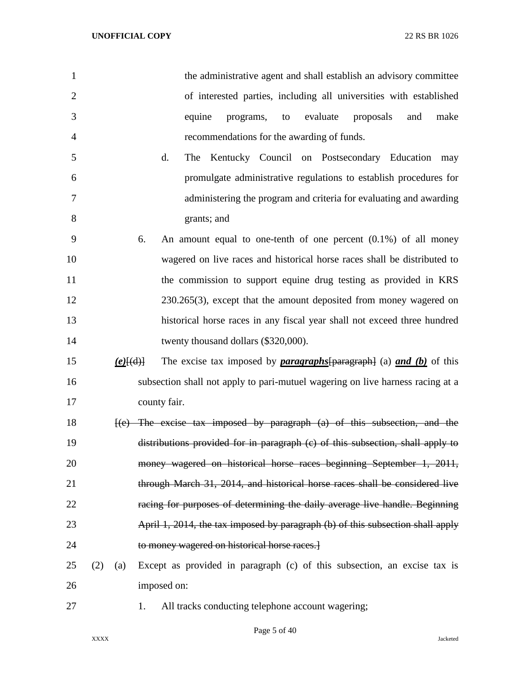| $\mathbf{1}$   |     |             | the administrative agent and shall establish an advisory committee                 |
|----------------|-----|-------------|------------------------------------------------------------------------------------|
| $\overline{2}$ |     |             | of interested parties, including all universities with established                 |
| 3              |     |             | equine<br>evaluate<br>proposals<br>make<br>programs,<br>and<br>to                  |
| 4              |     |             | recommendations for the awarding of funds.                                         |
| 5              |     |             | d.<br>Kentucky Council on Postsecondary Education may<br>The                       |
| 6              |     |             | promulgate administrative regulations to establish procedures for                  |
| 7              |     |             | administering the program and criteria for evaluating and awarding                 |
| 8              |     |             | grants; and                                                                        |
| 9              |     |             | An amount equal to one-tenth of one percent $(0.1\%)$ of all money<br>6.           |
| 10             |     |             | wagered on live races and historical horse races shall be distributed to           |
| 11             |     |             | the commission to support equine drug testing as provided in KRS                   |
| 12             |     |             | $230.265(3)$ , except that the amount deposited from money wagered on              |
| 13             |     |             | historical horse races in any fiscal year shall not exceed three hundred           |
| 14             |     |             | twenty thousand dollars (\$320,000).                                               |
| 15             |     | $(e)$ [(d)] | The excise tax imposed by <i>paragraphs</i> [paragraph] (a) <i>and (b)</i> of this |
| 16             |     |             | subsection shall not apply to pari-mutuel wagering on live harness racing at a     |
| 17             |     |             | county fair.                                                                       |
| 18             |     |             | $\{e\}$ The excise tax imposed by paragraph (a) of this subsection, and the        |
| 19             |     |             | distributions provided for in paragraph (e) of this subsection, shall apply to     |
| 20             |     |             | money wagered on historical horse races beginning September 1, 2011,               |
| 21             |     |             | through March 31, 2014, and historical horse races shall be considered live        |
| 22             |     |             | racing for purposes of determining the daily average live handle. Beginning        |
| 23             |     |             | April 1, 2014, the tax imposed by paragraph (b) of this subsection shall apply     |
| 24             |     |             | to money wagered on historical horse races.]                                       |
| 25             | (2) | (a)         | Except as provided in paragraph (c) of this subsection, an excise tax is           |
| 26             |     |             | imposed on:                                                                        |
|                |     |             |                                                                                    |

- 
- 27 1. All tracks conducting telephone account wagering;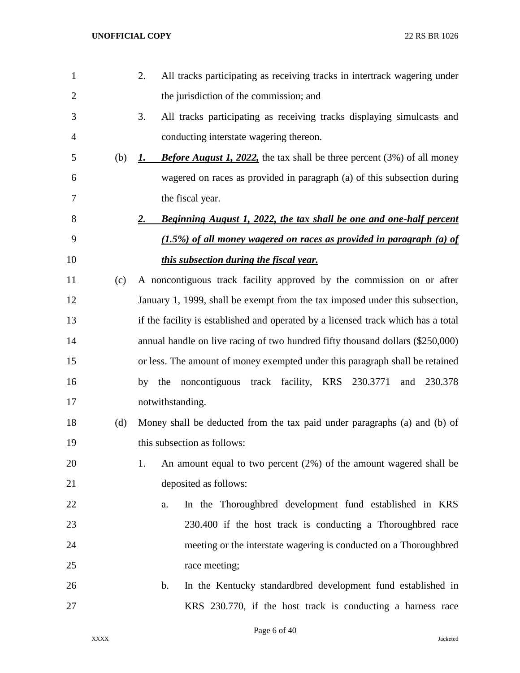| $\mathbf{1}$   |     | All tracks participating as receiving tracks in intertrack wagering under<br>2.      |
|----------------|-----|--------------------------------------------------------------------------------------|
| $\overline{2}$ |     | the jurisdiction of the commission; and                                              |
| 3              |     | 3.<br>All tracks participating as receiving tracks displaying simulcasts and         |
| 4              |     | conducting interstate wagering thereon.                                              |
| 5              | (b) | <b>Before August 1, 2022,</b> the tax shall be three percent (3%) of all money<br>1. |
| 6              |     | wagered on races as provided in paragraph (a) of this subsection during              |
| 7              |     | the fiscal year.                                                                     |
| 8              |     | 2.<br><b>Beginning August 1, 2022, the tax shall be one and one-half percent</b>     |
| 9              |     | $(1.5\%)$ of all money wagered on races as provided in paragraph (a) of              |
| 10             |     | <i>this subsection during the fiscal year.</i>                                       |
| 11             | (c) | A noncontiguous track facility approved by the commission on or after                |
| 12             |     | January 1, 1999, shall be exempt from the tax imposed under this subsection,         |
| 13             |     | if the facility is established and operated by a licensed track which has a total    |
| 14             |     | annual handle on live racing of two hundred fifty thousand dollars (\$250,000)       |
| 15             |     | or less. The amount of money exempted under this paragraph shall be retained         |
| 16             |     | noncontiguous track facility, KRS 230.3771<br>and 230.378<br>by<br>the               |
| 17             |     | notwithstanding.                                                                     |
| 18             | (d) | Money shall be deducted from the tax paid under paragraphs (a) and (b) of            |
| 19             |     | this subsection as follows:                                                          |
| 20             |     | An amount equal to two percent $(2%)$ of the amount wagered shall be<br>1.           |
| 21             |     | deposited as follows:                                                                |
| 22             |     | In the Thoroughbred development fund established in KRS<br>a.                        |
| 23             |     | 230.400 if the host track is conducting a Thoroughbred race                          |
| 24             |     | meeting or the interstate wagering is conducted on a Thoroughbred                    |
| 25             |     | race meeting;                                                                        |
| 26             |     | In the Kentucky standardbred development fund established in<br>$\mathbf b$ .        |
| 27             |     | KRS 230.770, if the host track is conducting a harness race                          |
|                |     |                                                                                      |

Page 6 of 40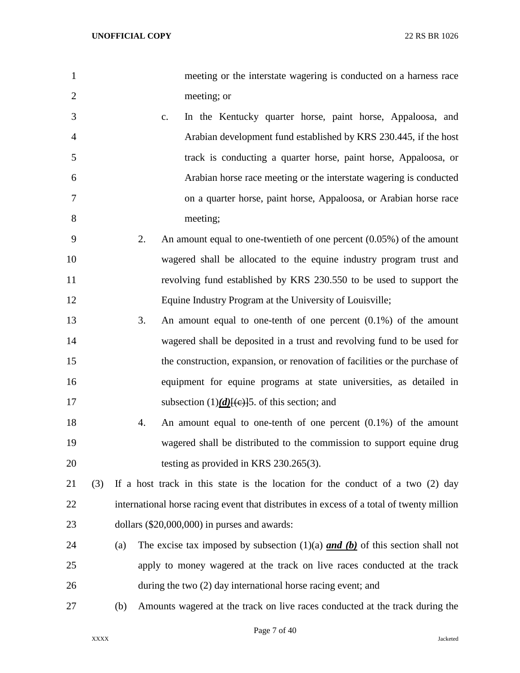| $\mathbf{1}$   |     |     |    |    | meeting or the interstate wagering is conducted on a harness race                        |
|----------------|-----|-----|----|----|------------------------------------------------------------------------------------------|
| $\overline{2}$ |     |     |    |    | meeting; or                                                                              |
| 3              |     |     |    | c. | In the Kentucky quarter horse, paint horse, Appaloosa, and                               |
| $\overline{4}$ |     |     |    |    | Arabian development fund established by KRS 230.445, if the host                         |
| 5              |     |     |    |    | track is conducting a quarter horse, paint horse, Appaloosa, or                          |
| 6              |     |     |    |    | Arabian horse race meeting or the interstate wagering is conducted                       |
| 7              |     |     |    |    | on a quarter horse, paint horse, Appaloosa, or Arabian horse race                        |
| 8              |     |     |    |    | meeting;                                                                                 |
| 9              |     |     | 2. |    | An amount equal to one-twentieth of one percent $(0.05\%)$ of the amount                 |
| 10             |     |     |    |    | wagered shall be allocated to the equine industry program trust and                      |
| 11             |     |     |    |    | revolving fund established by KRS 230.550 to be used to support the                      |
| 12             |     |     |    |    | Equine Industry Program at the University of Louisville;                                 |
| 13             |     |     | 3. |    | An amount equal to one-tenth of one percent $(0.1\%)$ of the amount                      |
| 14             |     |     |    |    | wagered shall be deposited in a trust and revolving fund to be used for                  |
| 15             |     |     |    |    | the construction, expansion, or renovation of facilities or the purchase of              |
| 16             |     |     |    |    | equipment for equine programs at state universities, as detailed in                      |
| 17             |     |     |    |    | subsection $(1)(d)$ (e) [5. of this section; and                                         |
| 18             |     |     | 4. |    | An amount equal to one-tenth of one percent $(0.1\%)$ of the amount                      |
| 19             |     |     |    |    | wagered shall be distributed to the commission to support equine drug                    |
| 20             |     |     |    |    | testing as provided in KRS 230.265(3).                                                   |
| 21             | (3) |     |    |    | If a host track in this state is the location for the conduct of a two $(2)$ day         |
| 22             |     |     |    |    | international horse racing event that distributes in excess of a total of twenty million |
| 23             |     |     |    |    | dollars $(\$20,000,000)$ in purses and awards:                                           |
| 24             |     | (a) |    |    | The excise tax imposed by subsection $(1)(a)$ and $(b)$ of this section shall not        |
| 25             |     |     |    |    | apply to money wagered at the track on live races conducted at the track                 |
| 26             |     |     |    |    | during the two (2) day international horse racing event; and                             |
| 27             |     | (b) |    |    | Amounts wagered at the track on live races conducted at the track during the             |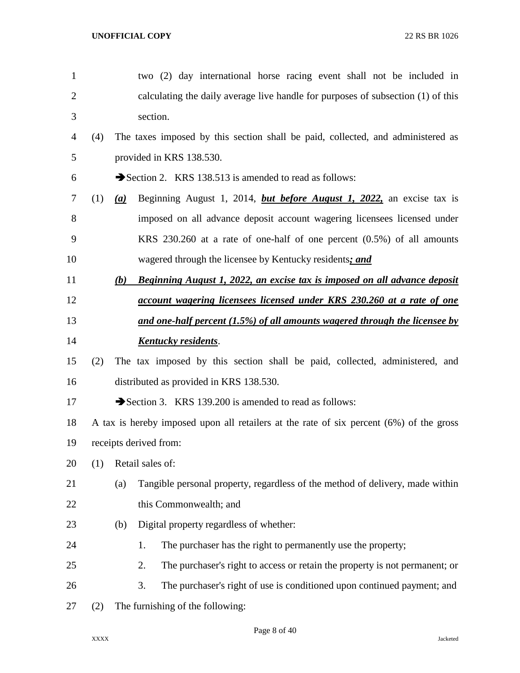| $\mathbf{1}$   |     |     | two (2) day international horse racing event shall not be included in                   |
|----------------|-----|-----|-----------------------------------------------------------------------------------------|
| $\overline{c}$ |     |     | calculating the daily average live handle for purposes of subsection (1) of this        |
| 3              |     |     | section.                                                                                |
| 4              | (4) |     | The taxes imposed by this section shall be paid, collected, and administered as         |
| 5              |     |     | provided in KRS 138.530.                                                                |
| 6              |     |     | Section 2. KRS 138.513 is amended to read as follows:                                   |
| 7              | (1) | (a) | Beginning August 1, 2014, <i>but before August 1</i> , 2022, an excise tax is           |
| 8              |     |     | imposed on all advance deposit account wagering licensees licensed under                |
| 9              |     |     | KRS 230.260 at a rate of one-half of one percent $(0.5\%)$ of all amounts               |
| 10             |     |     | wagered through the licensee by Kentucky residents; and                                 |
| 11             |     | (b) | <b>Beginning August 1, 2022, an excise tax is imposed on all advance deposit</b>        |
| 12             |     |     | account wagering licensees licensed under KRS 230.260 at a rate of one                  |
| 13             |     |     | <u>and one-half percent (1.5%) of all amounts wagered through the licensee by</u>       |
| 14             |     |     | <b>Kentucky residents.</b>                                                              |
| 15             | (2) |     | The tax imposed by this section shall be paid, collected, administered, and             |
| 16             |     |     | distributed as provided in KRS 138.530.                                                 |
| 17             |     |     | Section 3. KRS 139.200 is amended to read as follows:                                   |
| 18             |     |     | A tax is hereby imposed upon all retailers at the rate of six percent (6%) of the gross |
| 19             |     |     | receipts derived from:                                                                  |
| 20             | (1) |     | Retail sales of:                                                                        |
| 21             |     | (a) | Tangible personal property, regardless of the method of delivery, made within           |
| 22             |     |     | this Commonwealth; and                                                                  |
| 23             |     | (b) | Digital property regardless of whether:                                                 |
| 24             |     |     | The purchaser has the right to permanently use the property;<br>1.                      |
| 25             |     |     | 2.<br>The purchaser's right to access or retain the property is not permanent; or       |
| 26             |     |     | 3.<br>The purchaser's right of use is conditioned upon continued payment; and           |
| 27             | (2) |     | The furnishing of the following:                                                        |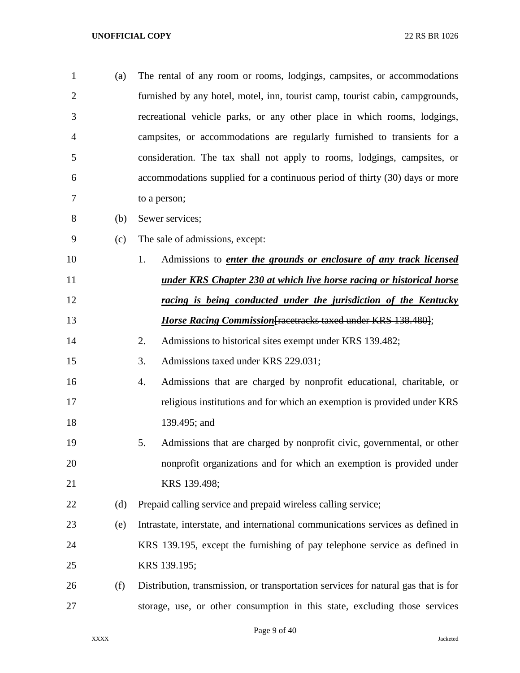| $\mathbf{1}$   | (a) | The rental of any room or rooms, lodgings, campsites, or accommodations            |
|----------------|-----|------------------------------------------------------------------------------------|
| $\overline{2}$ |     | furnished by any hotel, motel, inn, tourist camp, tourist cabin, campgrounds,      |
| 3              |     | recreational vehicle parks, or any other place in which rooms, lodgings,           |
| 4              |     | campsites, or accommodations are regularly furnished to transients for a           |
| 5              |     | consideration. The tax shall not apply to rooms, lodgings, campsites, or           |
| 6              |     | accommodations supplied for a continuous period of thirty (30) days or more        |
| 7              |     | to a person;                                                                       |
| 8              | (b) | Sewer services;                                                                    |
| 9              | (c) | The sale of admissions, except:                                                    |
| 10             |     | Admissions to <i>enter the grounds or enclosure of any track licensed</i><br>1.    |
| 11             |     | <u>under KRS Chapter 230 at which live horse racing or historical horse</u>        |
| 12             |     | racing is being conducted under the jurisdiction of the Kentucky                   |
| 13             |     | <b>Horse Racing Commission</b> [racetracks taxed under KRS 138.480];               |
| 14             |     | 2.<br>Admissions to historical sites exempt under KRS 139.482;                     |
| 15             |     | Admissions taxed under KRS 229.031;<br>3.                                          |
| 16             |     | Admissions that are charged by nonprofit educational, charitable, or<br>4.         |
| 17             |     | religious institutions and for which an exemption is provided under KRS            |
| 18             |     | 139.495; and                                                                       |
| 19             |     | Admissions that are charged by nonprofit civic, governmental, or other<br>5.       |
| 20             |     | nonprofit organizations and for which an exemption is provided under               |
| 21             |     | KRS 139.498;                                                                       |
| 22             | (d) | Prepaid calling service and prepaid wireless calling service;                      |
| 23             | (e) | Intrastate, interstate, and international communications services as defined in    |
| 24             |     | KRS 139.195, except the furnishing of pay telephone service as defined in          |
| 25             |     | KRS 139.195;                                                                       |
| 26             | (f) | Distribution, transmission, or transportation services for natural gas that is for |
| 27             |     | storage, use, or other consumption in this state, excluding those services         |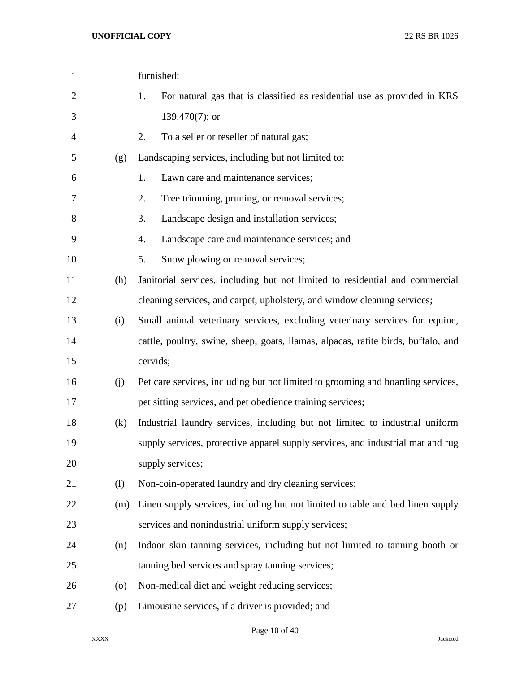| $\mathbf{1}$   |                    | furnished:                                                                        |
|----------------|--------------------|-----------------------------------------------------------------------------------|
| $\overline{2}$ |                    | 1.<br>For natural gas that is classified as residential use as provided in KRS    |
| 3              |                    | 139.470(7); or                                                                    |
| 4              |                    | 2.<br>To a seller or reseller of natural gas;                                     |
| 5              | (g)                | Landscaping services, including but not limited to:                               |
| 6              |                    | Lawn care and maintenance services;<br>1.                                         |
| 7              |                    | 2.<br>Tree trimming, pruning, or removal services;                                |
| 8              |                    | 3.<br>Landscape design and installation services;                                 |
| 9              |                    | Landscape care and maintenance services; and<br>4.                                |
| 10             |                    | 5.<br>Snow plowing or removal services;                                           |
| 11             | (h)                | Janitorial services, including but not limited to residential and commercial      |
| 12             |                    | cleaning services, and carpet, upholstery, and window cleaning services;          |
| 13             | (i)                | Small animal veterinary services, excluding veterinary services for equine,       |
| 14             |                    | cattle, poultry, swine, sheep, goats, llamas, alpacas, ratite birds, buffalo, and |
| 15             |                    | cervids;                                                                          |
| 16             | (j)                | Pet care services, including but not limited to grooming and boarding services,   |
| 17             |                    | pet sitting services, and pet obedience training services;                        |
| 18             | (k)                | Industrial laundry services, including but not limited to industrial uniform      |
| 19             |                    | supply services, protective apparel supply services, and industrial mat and rug   |
| 20             |                    | supply services;                                                                  |
| 21             | (1)                | Non-coin-operated laundry and dry cleaning services;                              |
| 22             | (m)                | Linen supply services, including but not limited to table and bed linen supply    |
| 23             |                    | services and nonindustrial uniform supply services;                               |
| 24             | (n)                | Indoor skin tanning services, including but not limited to tanning booth or       |
| 25             |                    | tanning bed services and spray tanning services;                                  |
| 26             | $\left( 0 \right)$ | Non-medical diet and weight reducing services;                                    |
| 27             | (p)                | Limousine services, if a driver is provided; and                                  |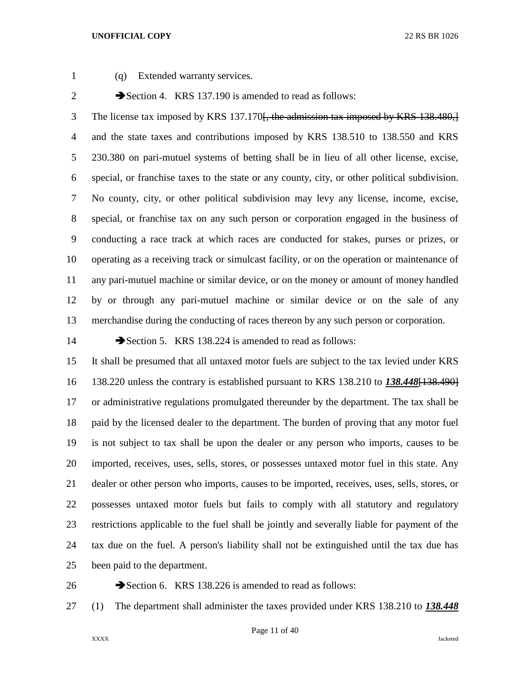(q) Extended warranty services.

2 Section 4. KRS 137.190 is amended to read as follows:

3 The license tax imposed by KRS 137.170<del>. the admission tax imposed by KRS 138.480, 1</del> and the state taxes and contributions imposed by KRS 138.510 to 138.550 and KRS 230.380 on pari-mutuel systems of betting shall be in lieu of all other license, excise, special, or franchise taxes to the state or any county, city, or other political subdivision. No county, city, or other political subdivision may levy any license, income, excise, special, or franchise tax on any such person or corporation engaged in the business of conducting a race track at which races are conducted for stakes, purses or prizes, or operating as a receiving track or simulcast facility, or on the operation or maintenance of any pari-mutuel machine or similar device, or on the money or amount of money handled by or through any pari-mutuel machine or similar device or on the sale of any merchandise during the conducting of races thereon by any such person or corporation.

14 Section 5. KRS 138.224 is amended to read as follows:

 It shall be presumed that all untaxed motor fuels are subject to the tax levied under KRS 138.220 unless the contrary is established pursuant to KRS 138.210 to *138.448*[138.490] or administrative regulations promulgated thereunder by the department. The tax shall be paid by the licensed dealer to the department. The burden of proving that any motor fuel is not subject to tax shall be upon the dealer or any person who imports, causes to be imported, receives, uses, sells, stores, or possesses untaxed motor fuel in this state. Any dealer or other person who imports, causes to be imported, receives, uses, sells, stores, or possesses untaxed motor fuels but fails to comply with all statutory and regulatory restrictions applicable to the fuel shall be jointly and severally liable for payment of the tax due on the fuel. A person's liability shall not be extinguished until the tax due has been paid to the department.

26 Section 6. KRS 138.226 is amended to read as follows:

(1) The department shall administer the taxes provided under KRS 138.210 to *138.448*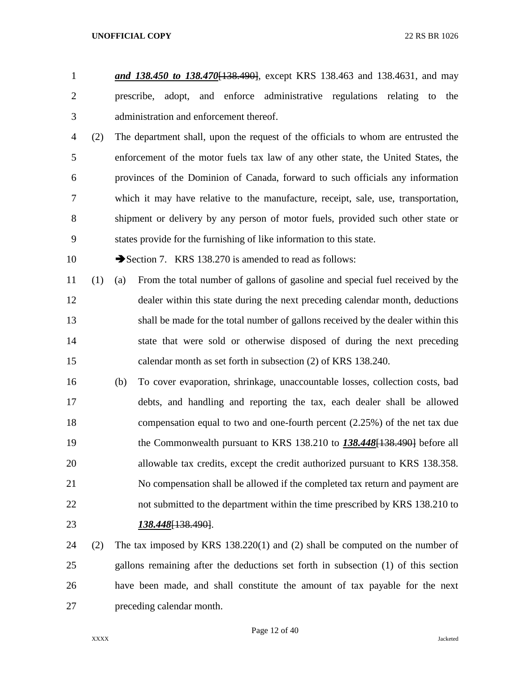- *and 138.450 to 138.470*[138.490], except KRS 138.463 and 138.4631, and may prescribe, adopt, and enforce administrative regulations relating to the administration and enforcement thereof.
- (2) The department shall, upon the request of the officials to whom are entrusted the enforcement of the motor fuels tax law of any other state, the United States, the provinces of the Dominion of Canada, forward to such officials any information which it may have relative to the manufacture, receipt, sale, use, transportation, shipment or delivery by any person of motor fuels, provided such other state or states provide for the furnishing of like information to this state.

10 Section 7. KRS 138.270 is amended to read as follows:

- (1) (a) From the total number of gallons of gasoline and special fuel received by the dealer within this state during the next preceding calendar month, deductions shall be made for the total number of gallons received by the dealer within this state that were sold or otherwise disposed of during the next preceding calendar month as set forth in subsection (2) of KRS 138.240.
- (b) To cover evaporation, shrinkage, unaccountable losses, collection costs, bad debts, and handling and reporting the tax, each dealer shall be allowed compensation equal to two and one-fourth percent (2.25%) of the net tax due the Commonwealth pursuant to KRS 138.210 to *138.448*[138.490] before all allowable tax credits, except the credit authorized pursuant to KRS 138.358. No compensation shall be allowed if the completed tax return and payment are not submitted to the department within the time prescribed by KRS 138.210 to *138.448*[138.490].
- (2) The tax imposed by KRS 138.220(1) and (2) shall be computed on the number of gallons remaining after the deductions set forth in subsection (1) of this section have been made, and shall constitute the amount of tax payable for the next preceding calendar month.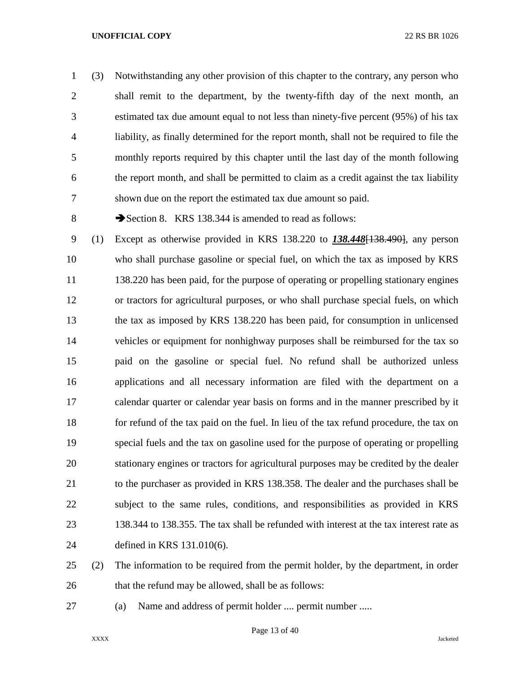(3) Notwithstanding any other provision of this chapter to the contrary, any person who shall remit to the department, by the twenty-fifth day of the next month, an estimated tax due amount equal to not less than ninety-five percent (95%) of his tax liability, as finally determined for the report month, shall not be required to file the monthly reports required by this chapter until the last day of the month following the report month, and shall be permitted to claim as a credit against the tax liability shown due on the report the estimated tax due amount so paid.

8 Section 8. KRS 138.344 is amended to read as follows:

 (1) Except as otherwise provided in KRS 138.220 to *138.448*[138.490], any person who shall purchase gasoline or special fuel, on which the tax as imposed by KRS 11 138.220 has been paid, for the purpose of operating or propelling stationary engines or tractors for agricultural purposes, or who shall purchase special fuels, on which the tax as imposed by KRS 138.220 has been paid, for consumption in unlicensed vehicles or equipment for nonhighway purposes shall be reimbursed for the tax so paid on the gasoline or special fuel. No refund shall be authorized unless applications and all necessary information are filed with the department on a calendar quarter or calendar year basis on forms and in the manner prescribed by it for refund of the tax paid on the fuel. In lieu of the tax refund procedure, the tax on special fuels and the tax on gasoline used for the purpose of operating or propelling stationary engines or tractors for agricultural purposes may be credited by the dealer to the purchaser as provided in KRS 138.358. The dealer and the purchases shall be subject to the same rules, conditions, and responsibilities as provided in KRS 138.344 to 138.355. The tax shall be refunded with interest at the tax interest rate as defined in KRS 131.010(6).

 (2) The information to be required from the permit holder, by the department, in order 26 that the refund may be allowed, shall be as follows:

(a) Name and address of permit holder .... permit number .....

XXXX Jacketed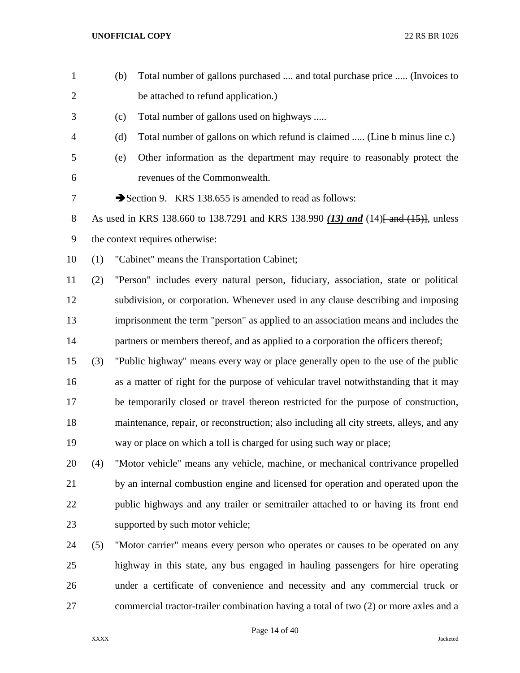| $\mathbf{1}$   |     | (b) | Total number of gallons purchased  and total purchase price  (Invoices to                |
|----------------|-----|-----|------------------------------------------------------------------------------------------|
| $\overline{2}$ |     |     | be attached to refund application.)                                                      |
| 3              |     | (c) | Total number of gallons used on highways                                                 |
| 4              |     | (d) | Total number of gallons on which refund is claimed  (Line b minus line c.)               |
| 5              |     | (e) | Other information as the department may require to reasonably protect the                |
| 6              |     |     | revenues of the Commonwealth.                                                            |
| 7              |     |     | Section 9. KRS 138.655 is amended to read as follows:                                    |
| 8              |     |     | As used in KRS 138.660 to 138.7291 and KRS 138.990 (13) and (14) and (15). unless        |
| 9              |     |     | the context requires otherwise:                                                          |
| 10             | (1) |     | "Cabinet" means the Transportation Cabinet;                                              |
| 11             | (2) |     | "Person" includes every natural person, fiduciary, association, state or political       |
| 12             |     |     | subdivision, or corporation. Whenever used in any clause describing and imposing         |
| 13             |     |     | imprisonment the term "person" as applied to an association means and includes the       |
| 14             |     |     | partners or members thereof, and as applied to a corporation the officers thereof;       |
| 15             | (3) |     | "Public highway" means every way or place generally open to the use of the public        |
| 16             |     |     | as a matter of right for the purpose of vehicular travel notwithstanding that it may     |
| 17             |     |     | be temporarily closed or travel thereon restricted for the purpose of construction,      |
| 18             |     |     | maintenance, repair, or reconstruction; also including all city streets, alleys, and any |
| 19             |     |     | way or place on which a toll is charged for using such way or place;                     |
| 20             | (4) |     | "Motor vehicle" means any vehicle, machine, or mechanical contrivance propelled          |
| 21             |     |     | by an internal combustion engine and licensed for operation and operated upon the        |
| 22             |     |     | public highways and any trailer or semitrailer attached to or having its front end       |
| 23             |     |     | supported by such motor vehicle;                                                         |
| 24             | (5) |     | "Motor carrier" means every person who operates or causes to be operated on any          |
| 25             |     |     | highway in this state, any bus engaged in hauling passengers for hire operating          |

commercial tractor-trailer combination having a total of two (2) or more axles and a

Page 14 of 40

under a certificate of convenience and necessity and any commercial truck or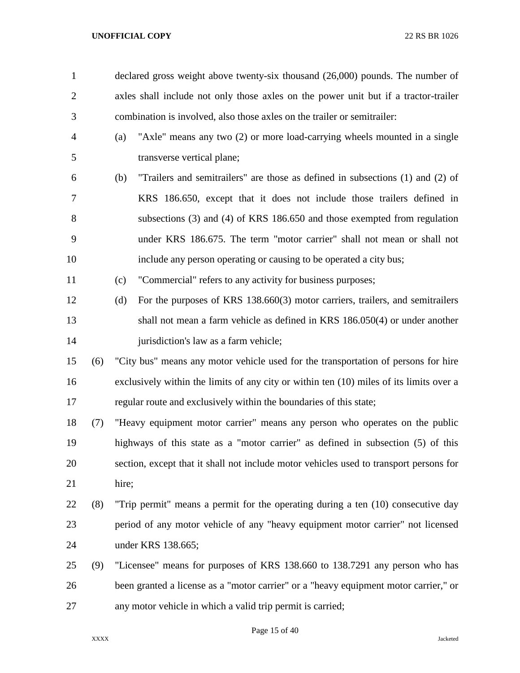| $\mathbf{1}$   |     | declared gross weight above twenty-six thousand (26,000) pounds. The number of          |
|----------------|-----|-----------------------------------------------------------------------------------------|
| $\overline{2}$ |     | axles shall include not only those axles on the power unit but if a tractor-trailer     |
| 3              |     | combination is involved, also those axles on the trailer or semitrailer:                |
| $\overline{4}$ |     | "Axle" means any two (2) or more load-carrying wheels mounted in a single<br>(a)        |
| 5              |     | transverse vertical plane;                                                              |
| 6              |     | "Trailers and semitrailers" are those as defined in subsections (1) and (2) of<br>(b)   |
| 7              |     | KRS 186.650, except that it does not include those trailers defined in                  |
| $8\,$          |     | subsections (3) and (4) of KRS 186.650 and those exempted from regulation               |
| 9              |     | under KRS 186.675. The term "motor carrier" shall not mean or shall not                 |
| 10             |     | include any person operating or causing to be operated a city bus;                      |
| 11             |     | "Commercial" refers to any activity for business purposes;<br>(c)                       |
| 12             |     | For the purposes of KRS 138.660(3) motor carriers, trailers, and semitrailers<br>(d)    |
| 13             |     | shall not mean a farm vehicle as defined in KRS 186.050(4) or under another             |
| 14             |     | jurisdiction's law as a farm vehicle;                                                   |
| 15             | (6) | "City bus" means any motor vehicle used for the transportation of persons for hire      |
| 16             |     | exclusively within the limits of any city or within ten (10) miles of its limits over a |
| 17             |     | regular route and exclusively within the boundaries of this state;                      |
| 18             | (7) | "Heavy equipment motor carrier" means any person who operates on the public             |
| 19             |     | highways of this state as a "motor carrier" as defined in subsection (5) of this        |
| 20             |     | section, except that it shall not include motor vehicles used to transport persons for  |
| 21             |     | hire;                                                                                   |
| 22             | (8) | "Trip permit" means a permit for the operating during a ten (10) consecutive day        |
| 23             |     | period of any motor vehicle of any "heavy equipment motor carrier" not licensed         |
| 24             |     | under KRS 138.665;                                                                      |
| 25             | (9) | "Licensee" means for purposes of KRS 138.660 to 138.7291 any person who has             |
| 26             |     | been granted a license as a "motor carrier" or a "heavy equipment motor carrier," or    |
| 27             |     | any motor vehicle in which a valid trip permit is carried;                              |

Page 15 of 40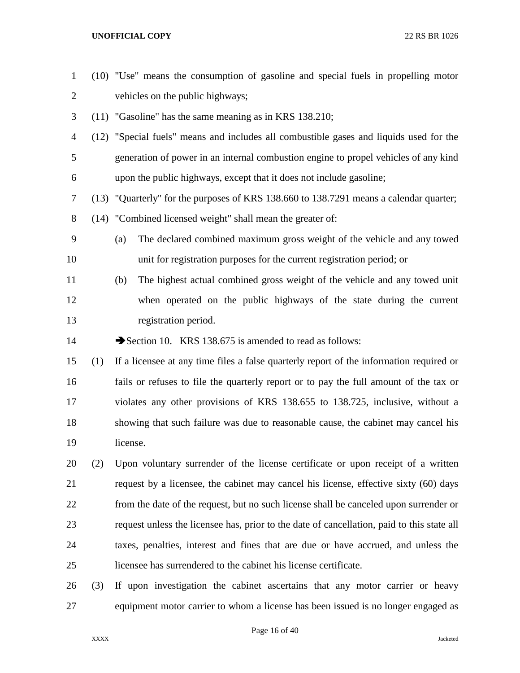| $\mathbf{1}$   |     | (10) "Use" means the consumption of gasoline and special fuels in propelling motor         |  |  |
|----------------|-----|--------------------------------------------------------------------------------------------|--|--|
| $\overline{2}$ |     | vehicles on the public highways;                                                           |  |  |
| 3              |     | $(11)$ "Gasoline" has the same meaning as in KRS 138.210;                                  |  |  |
| 4              |     | (12) "Special fuels" means and includes all combustible gases and liquids used for the     |  |  |
| 5              |     | generation of power in an internal combustion engine to propel vehicles of any kind        |  |  |
| 6              |     | upon the public highways, except that it does not include gasoline;                        |  |  |
| 7              |     | (13) "Quarterly" for the purposes of KRS 138.660 to 138.7291 means a calendar quarter;     |  |  |
| 8              |     | (14) "Combined licensed weight" shall mean the greater of:                                 |  |  |
| 9              |     | The declared combined maximum gross weight of the vehicle and any towed<br>(a)             |  |  |
| 10             |     | unit for registration purposes for the current registration period; or                     |  |  |
| 11             |     | The highest actual combined gross weight of the vehicle and any towed unit<br>(b)          |  |  |
| 12             |     | when operated on the public highways of the state during the current                       |  |  |
| 13             |     | registration period.                                                                       |  |  |
| 14             |     | Section 10. KRS 138.675 is amended to read as follows:                                     |  |  |
| 15             | (1) | If a licensee at any time files a false quarterly report of the information required or    |  |  |
| 16             |     | fails or refuses to file the quarterly report or to pay the full amount of the tax or      |  |  |
| 17             |     | violates any other provisions of KRS 138.655 to 138.725, inclusive, without a              |  |  |
| 18             |     | showing that such failure was due to reasonable cause, the cabinet may cancel his          |  |  |
| 19             |     | license.                                                                                   |  |  |
| 20             | (2) | Upon voluntary surrender of the license certificate or upon receipt of a written           |  |  |
| 21             |     | request by a licensee, the cabinet may cancel his license, effective sixty (60) days       |  |  |
| 22             |     | from the date of the request, but no such license shall be canceled upon surrender or      |  |  |
| 23             |     | request unless the licensee has, prior to the date of cancellation, paid to this state all |  |  |
| 24             |     | taxes, penalties, interest and fines that are due or have accrued, and unless the          |  |  |
| 25             |     | licensee has surrendered to the cabinet his license certificate.                           |  |  |
| 26             | (3) | If upon investigation the cabinet ascertains that any motor carrier or heavy               |  |  |
| 27             |     | equipment motor carrier to whom a license has been issued is no longer engaged as          |  |  |

Page 16 of 40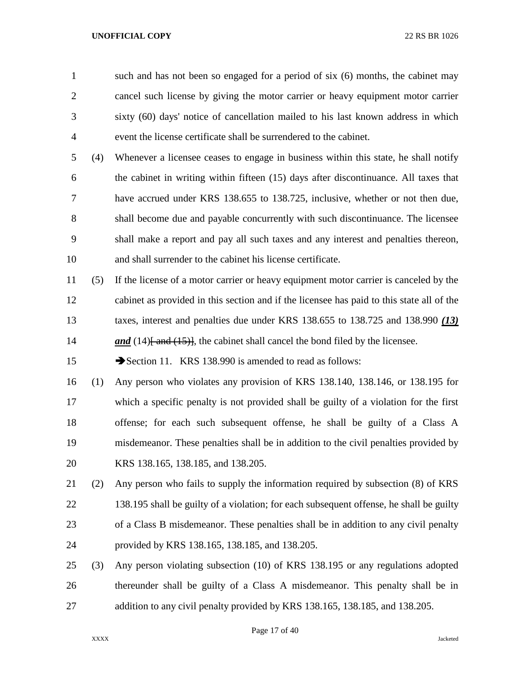such and has not been so engaged for a period of six (6) months, the cabinet may cancel such license by giving the motor carrier or heavy equipment motor carrier sixty (60) days' notice of cancellation mailed to his last known address in which event the license certificate shall be surrendered to the cabinet.

 (4) Whenever a licensee ceases to engage in business within this state, he shall notify the cabinet in writing within fifteen (15) days after discontinuance. All taxes that have accrued under KRS 138.655 to 138.725, inclusive, whether or not then due, shall become due and payable concurrently with such discontinuance. The licensee shall make a report and pay all such taxes and any interest and penalties thereon, and shall surrender to the cabinet his license certificate.

 (5) If the license of a motor carrier or heavy equipment motor carrier is canceled by the cabinet as provided in this section and if the licensee has paid to this state all of the taxes, interest and penalties due under KRS 138.655 to 138.725 and 138.990 *(13) and* (14)<del> and (15)</del>, the cabinet shall cancel the bond filed by the licensee.

15 Section 11. KRS 138.990 is amended to read as follows:

 (1) Any person who violates any provision of KRS 138.140, 138.146, or 138.195 for which a specific penalty is not provided shall be guilty of a violation for the first offense; for each such subsequent offense, he shall be guilty of a Class A misdemeanor. These penalties shall be in addition to the civil penalties provided by KRS 138.165, 138.185, and 138.205.

 (2) Any person who fails to supply the information required by subsection (8) of KRS 22 138.195 shall be guilty of a violation; for each subsequent offense, he shall be guilty of a Class B misdemeanor. These penalties shall be in addition to any civil penalty provided by KRS 138.165, 138.185, and 138.205.

 (3) Any person violating subsection (10) of KRS 138.195 or any regulations adopted thereunder shall be guilty of a Class A misdemeanor. This penalty shall be in addition to any civil penalty provided by KRS 138.165, 138.185, and 138.205.

Page 17 of 40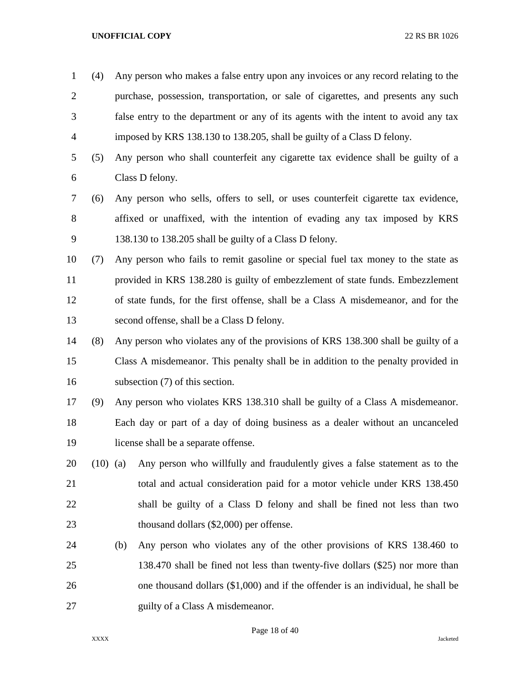- (4) Any person who makes a false entry upon any invoices or any record relating to the purchase, possession, transportation, or sale of cigarettes, and presents any such false entry to the department or any of its agents with the intent to avoid any tax imposed by KRS 138.130 to 138.205, shall be guilty of a Class D felony.
- (5) Any person who shall counterfeit any cigarette tax evidence shall be guilty of a Class D felony.
- (6) Any person who sells, offers to sell, or uses counterfeit cigarette tax evidence, affixed or unaffixed, with the intention of evading any tax imposed by KRS 138.130 to 138.205 shall be guilty of a Class D felony.
- (7) Any person who fails to remit gasoline or special fuel tax money to the state as provided in KRS 138.280 is guilty of embezzlement of state funds. Embezzlement of state funds, for the first offense, shall be a Class A misdemeanor, and for the second offense, shall be a Class D felony.
- (8) Any person who violates any of the provisions of KRS 138.300 shall be guilty of a Class A misdemeanor. This penalty shall be in addition to the penalty provided in subsection (7) of this section.
- (9) Any person who violates KRS 138.310 shall be guilty of a Class A misdemeanor. Each day or part of a day of doing business as a dealer without an uncanceled license shall be a separate offense.
- (10) (a) Any person who willfully and fraudulently gives a false statement as to the total and actual consideration paid for a motor vehicle under KRS 138.450 shall be guilty of a Class D felony and shall be fined not less than two thousand dollars (\$2,000) per offense.
- (b) Any person who violates any of the other provisions of KRS 138.460 to 138.470 shall be fined not less than twenty-five dollars (\$25) nor more than one thousand dollars (\$1,000) and if the offender is an individual, he shall be 27 guilty of a Class A misdemeanor.

Page 18 of 40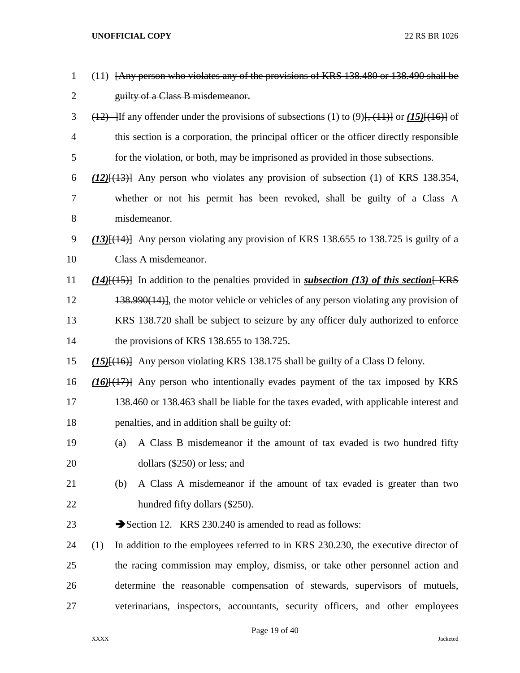| $\mathbf{1}$   | (11) [Any person who violates any of the provisions of KRS 138.480 or 138.490 shall be                   |
|----------------|----------------------------------------------------------------------------------------------------------|
| $\overline{2}$ | guilty of a Class B misdemeanor.                                                                         |
| 3              | $\frac{12}{12}$ If any offender under the provisions of subsections (1) to (9). $\frac{13}{11}$ or (15). |
| $\overline{4}$ | this section is a corporation, the principal officer or the officer directly responsible                 |
| 5              | for the violation, or both, may be imprisoned as provided in those subsections.                          |
| 6              | $(12)$ [ $(13)$ ] Any person who violates any provision of subsection (1) of KRS 138.354,                |
| 7              | whether or not his permit has been revoked, shall be guilty of a Class A                                 |
| 8              | misdemeanor.                                                                                             |
| 9              | $(13)$ { $(14)$ } Any person violating any provision of KRS 138.655 to 138.725 is guilty of a            |
| 10             | Class A misdemeanor.                                                                                     |
| 11             | $(14)$ [ $(15)$ ] In addition to the penalties provided in <i>subsection</i> (13) of this section [KRS]  |
| 12             | 138.990(14), the motor vehicle or vehicles of any person violating any provision of                      |
| 13             | KRS 138.720 shall be subject to seizure by any officer duly authorized to enforce                        |
| 14             | the provisions of KRS 138.655 to 138.725.                                                                |
| 15             | $(15)$ { $(16)$ } Any person violating KRS 138.175 shall be guilty of a Class D felony.                  |
| 16             | $(16)$ $(17)$ Any person who intentionally evades payment of the tax imposed by KRS                      |
| 17             | 138.460 or 138.463 shall be liable for the taxes evaded, with applicable interest and                    |
| 18             | penalties, and in addition shall be guilty of:                                                           |
| 19             | A Class B misdemeanor if the amount of tax evaded is two hundred fifty<br>(a)                            |
| 20             | dollars (\$250) or less; and                                                                             |
| 21             | A Class A misdemeanor if the amount of tax evaded is greater than two<br>(b)                             |
| 22             | hundred fifty dollars (\$250).                                                                           |
| 23             | Section 12. KRS 230.240 is amended to read as follows:                                                   |
| 24             | In addition to the employees referred to in KRS 230.230, the executive director of<br>(1)                |
| 25             | the racing commission may employ, dismiss, or take other personnel action and                            |
| 26             | determine the reasonable compensation of stewards, supervisors of mutuels,                               |
| 27             | veterinarians, inspectors, accountants, security officers, and other employees                           |
|                |                                                                                                          |

Page 19 of 40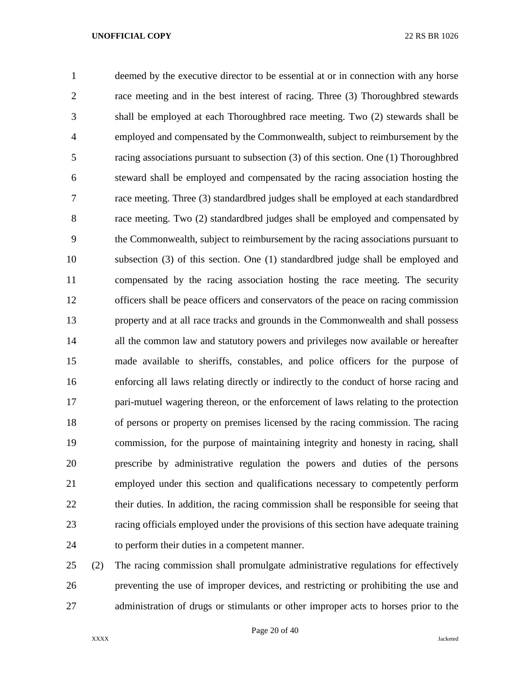deemed by the executive director to be essential at or in connection with any horse race meeting and in the best interest of racing. Three (3) Thoroughbred stewards shall be employed at each Thoroughbred race meeting. Two (2) stewards shall be employed and compensated by the Commonwealth, subject to reimbursement by the racing associations pursuant to subsection (3) of this section. One (1) Thoroughbred steward shall be employed and compensated by the racing association hosting the race meeting. Three (3) standardbred judges shall be employed at each standardbred race meeting. Two (2) standardbred judges shall be employed and compensated by the Commonwealth, subject to reimbursement by the racing associations pursuant to subsection (3) of this section. One (1) standardbred judge shall be employed and compensated by the racing association hosting the race meeting. The security officers shall be peace officers and conservators of the peace on racing commission property and at all race tracks and grounds in the Commonwealth and shall possess 14 all the common law and statutory powers and privileges now available or hereafter made available to sheriffs, constables, and police officers for the purpose of enforcing all laws relating directly or indirectly to the conduct of horse racing and pari-mutuel wagering thereon, or the enforcement of laws relating to the protection of persons or property on premises licensed by the racing commission. The racing commission, for the purpose of maintaining integrity and honesty in racing, shall prescribe by administrative regulation the powers and duties of the persons employed under this section and qualifications necessary to competently perform 22 their duties. In addition, the racing commission shall be responsible for seeing that racing officials employed under the provisions of this section have adequate training to perform their duties in a competent manner.

 (2) The racing commission shall promulgate administrative regulations for effectively preventing the use of improper devices, and restricting or prohibiting the use and administration of drugs or stimulants or other improper acts to horses prior to the

Page 20 of 40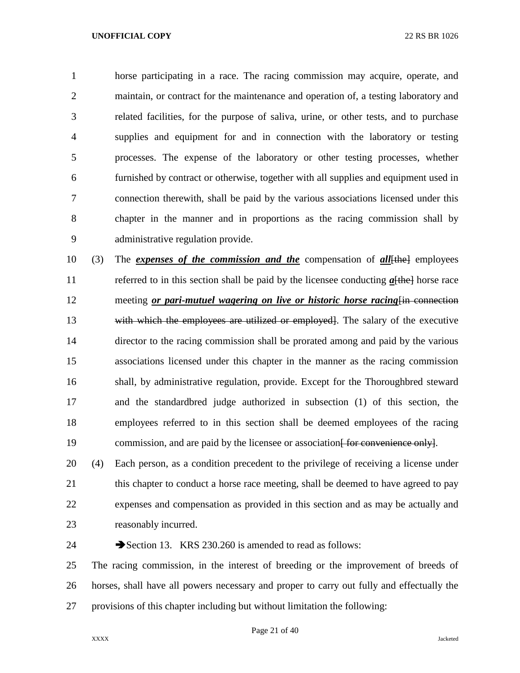horse participating in a race. The racing commission may acquire, operate, and maintain, or contract for the maintenance and operation of, a testing laboratory and related facilities, for the purpose of saliva, urine, or other tests, and to purchase supplies and equipment for and in connection with the laboratory or testing processes. The expense of the laboratory or other testing processes, whether furnished by contract or otherwise, together with all supplies and equipment used in connection therewith, shall be paid by the various associations licensed under this chapter in the manner and in proportions as the racing commission shall by administrative regulation provide.

 (3) The *expenses of the commission and the* compensation of *all*[the] employees 11 referred to in this section shall be paid by the licensee conducting  $a[the]$  horse race 12 meeting *or pari-mutuel wagering on live or historic horse racing*  $\frac{1}{n}$  connection 13 with which the employees are utilized or employed. The salary of the executive director to the racing commission shall be prorated among and paid by the various associations licensed under this chapter in the manner as the racing commission shall, by administrative regulation, provide. Except for the Thoroughbred steward and the standardbred judge authorized in subsection (1) of this section, the employees referred to in this section shall be deemed employees of the racing 19 commission, and are paid by the licensee or association for convenience only.

 (4) Each person, as a condition precedent to the privilege of receiving a license under 21 this chapter to conduct a horse race meeting, shall be deemed to have agreed to pay expenses and compensation as provided in this section and as may be actually and reasonably incurred.

24 Section 13. KRS 230.260 is amended to read as follows:

 The racing commission, in the interest of breeding or the improvement of breeds of horses, shall have all powers necessary and proper to carry out fully and effectually the provisions of this chapter including but without limitation the following: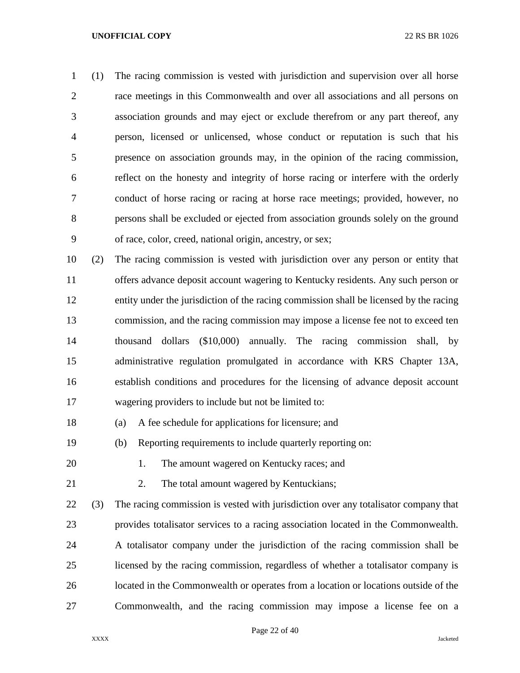(1) The racing commission is vested with jurisdiction and supervision over all horse race meetings in this Commonwealth and over all associations and all persons on association grounds and may eject or exclude therefrom or any part thereof, any person, licensed or unlicensed, whose conduct or reputation is such that his presence on association grounds may, in the opinion of the racing commission, reflect on the honesty and integrity of horse racing or interfere with the orderly conduct of horse racing or racing at horse race meetings; provided, however, no persons shall be excluded or ejected from association grounds solely on the ground of race, color, creed, national origin, ancestry, or sex;

 (2) The racing commission is vested with jurisdiction over any person or entity that offers advance deposit account wagering to Kentucky residents. Any such person or entity under the jurisdiction of the racing commission shall be licensed by the racing commission, and the racing commission may impose a license fee not to exceed ten thousand dollars (\$10,000) annually. The racing commission shall, by administrative regulation promulgated in accordance with KRS Chapter 13A, establish conditions and procedures for the licensing of advance deposit account wagering providers to include but not be limited to:

(a) A fee schedule for applications for licensure; and

(b) Reporting requirements to include quarterly reporting on:

20 1. The amount wagered on Kentucky races; and

21 2. The total amount wagered by Kentuckians;

 (3) The racing commission is vested with jurisdiction over any totalisator company that provides totalisator services to a racing association located in the Commonwealth. A totalisator company under the jurisdiction of the racing commission shall be licensed by the racing commission, regardless of whether a totalisator company is located in the Commonwealth or operates from a location or locations outside of the Commonwealth, and the racing commission may impose a license fee on a

Page 22 of 40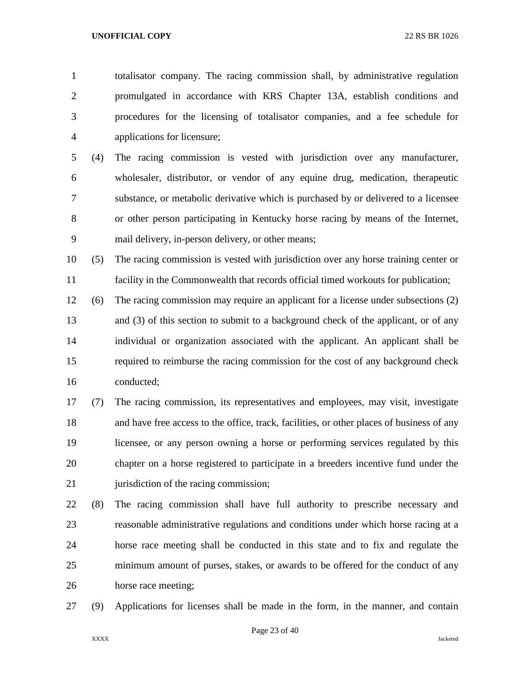totalisator company. The racing commission shall, by administrative regulation promulgated in accordance with KRS Chapter 13A, establish conditions and procedures for the licensing of totalisator companies, and a fee schedule for applications for licensure;

 (4) The racing commission is vested with jurisdiction over any manufacturer, wholesaler, distributor, or vendor of any equine drug, medication, therapeutic substance, or metabolic derivative which is purchased by or delivered to a licensee or other person participating in Kentucky horse racing by means of the Internet, mail delivery, in-person delivery, or other means;

 (5) The racing commission is vested with jurisdiction over any horse training center or facility in the Commonwealth that records official timed workouts for publication;

 (6) The racing commission may require an applicant for a license under subsections (2) and (3) of this section to submit to a background check of the applicant, or of any individual or organization associated with the applicant. An applicant shall be required to reimburse the racing commission for the cost of any background check conducted;

 (7) The racing commission, its representatives and employees, may visit, investigate and have free access to the office, track, facilities, or other places of business of any licensee, or any person owning a horse or performing services regulated by this chapter on a horse registered to participate in a breeders incentive fund under the 21 jurisdiction of the racing commission;

 (8) The racing commission shall have full authority to prescribe necessary and reasonable administrative regulations and conditions under which horse racing at a horse race meeting shall be conducted in this state and to fix and regulate the minimum amount of purses, stakes, or awards to be offered for the conduct of any horse race meeting;

(9) Applications for licenses shall be made in the form, in the manner, and contain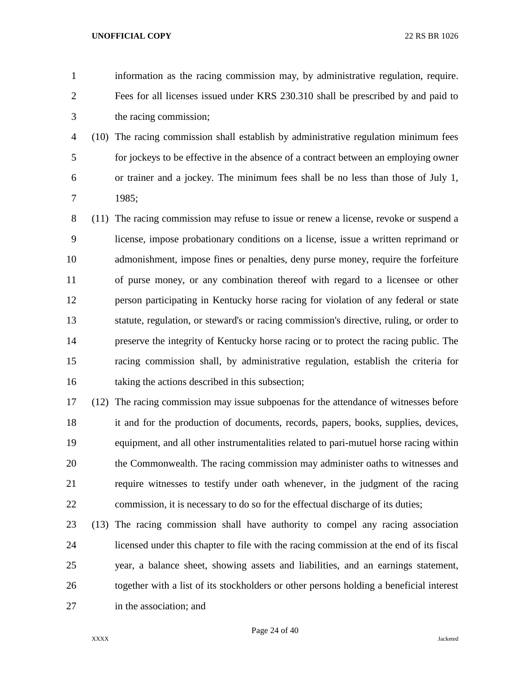information as the racing commission may, by administrative regulation, require. Fees for all licenses issued under KRS 230.310 shall be prescribed by and paid to the racing commission;

 (10) The racing commission shall establish by administrative regulation minimum fees for jockeys to be effective in the absence of a contract between an employing owner or trainer and a jockey. The minimum fees shall be no less than those of July 1, 1985;

 (11) The racing commission may refuse to issue or renew a license, revoke or suspend a license, impose probationary conditions on a license, issue a written reprimand or admonishment, impose fines or penalties, deny purse money, require the forfeiture of purse money, or any combination thereof with regard to a licensee or other person participating in Kentucky horse racing for violation of any federal or state statute, regulation, or steward's or racing commission's directive, ruling, or order to preserve the integrity of Kentucky horse racing or to protect the racing public. The racing commission shall, by administrative regulation, establish the criteria for taking the actions described in this subsection;

 (12) The racing commission may issue subpoenas for the attendance of witnesses before it and for the production of documents, records, papers, books, supplies, devices, equipment, and all other instrumentalities related to pari-mutuel horse racing within the Commonwealth. The racing commission may administer oaths to witnesses and require witnesses to testify under oath whenever, in the judgment of the racing commission, it is necessary to do so for the effectual discharge of its duties;

 (13) The racing commission shall have authority to compel any racing association licensed under this chapter to file with the racing commission at the end of its fiscal year, a balance sheet, showing assets and liabilities, and an earnings statement, together with a list of its stockholders or other persons holding a beneficial interest in the association; and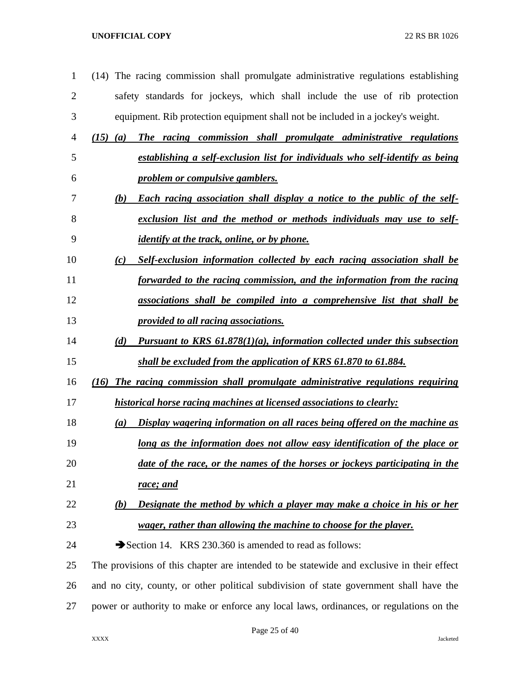- (14) The racing commission shall promulgate administrative regulations establishing safety standards for jockeys, which shall include the use of rib protection equipment. Rib protection equipment shall not be included in a jockey's weight.
- *(15) (a) The racing commission shall promulgate administrative regulations establishing a self-exclusion list for individuals who self-identify as being*
- *problem or compulsive gamblers. (b) Each racing association shall display a notice to the public of the self-exclusion list and the method or methods individuals may use to self-*
- *identify at the track, online, or by phone.*
- *(c) Self-exclusion information collected by each racing association shall be forwarded to the racing commission, and the information from the racing*
- *associations shall be compiled into a comprehensive list that shall be provided to all racing associations.*
- *(d) Pursuant to KRS 61.878(1)(a), information collected under this subsection shall be excluded from the application of KRS 61.870 to 61.884.*
- *(16) The racing commission shall promulgate administrative regulations requiring historical horse racing machines at licensed associations to clearly:*
- *(a) Display wagering information on all races being offered on the machine as long as the information does not allow easy identification of the place or*
- *date of the race, or the names of the horses or jockeys participating in the race; and*
- *(b) Designate the method by which a player may make a choice in his or her wager, rather than allowing the machine to choose for the player.*
- 24 Section 14. KRS 230.360 is amended to read as follows:

 The provisions of this chapter are intended to be statewide and exclusive in their effect and no city, county, or other political subdivision of state government shall have the power or authority to make or enforce any local laws, ordinances, or regulations on the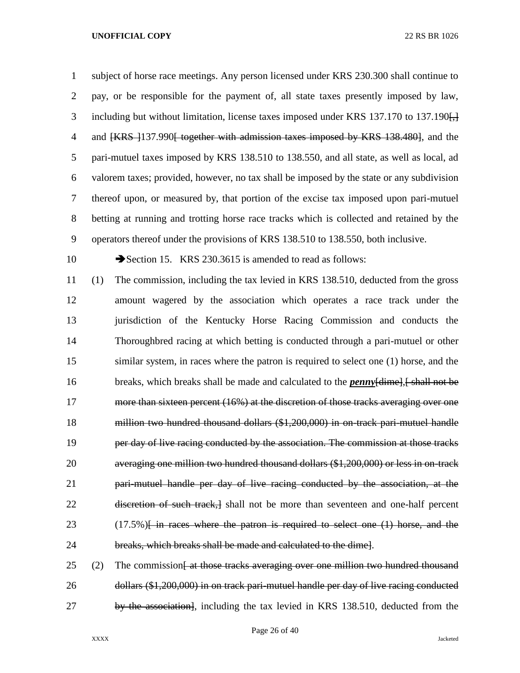subject of horse race meetings. Any person licensed under KRS 230.300 shall continue to pay, or be responsible for the payment of, all state taxes presently imposed by law, 3 including but without limitation, license taxes imposed under KRS 137.170 to 137.190. 4 and  $\{KRS\}$  137.990 together with admission taxes imposed by KRS 138.480, and the pari-mutuel taxes imposed by KRS 138.510 to 138.550, and all state, as well as local, ad valorem taxes; provided, however, no tax shall be imposed by the state or any subdivision thereof upon, or measured by, that portion of the excise tax imposed upon pari-mutuel betting at running and trotting horse race tracks which is collected and retained by the operators thereof under the provisions of KRS 138.510 to 138.550, both inclusive. 10 Section 15. KRS 230.3615 is amended to read as follows: (1) The commission, including the tax levied in KRS 138.510, deducted from the gross amount wagered by the association which operates a race track under the jurisdiction of the Kentucky Horse Racing Commission and conducts the Thoroughbred racing at which betting is conducted through a pari-mutuel or other similar system, in races where the patron is required to select one (1) horse, and the 16 breaks, which breaks shall be made and calculated to the *penny* [dime], [ shall not be 17 more than sixteen percent (16%) at the discretion of those tracks averaging over one million two hundred thousand dollars (\$1,200,000) in on-track pari-mutuel handle **per day of live racing conducted by the association. The commission at those tracks**  averaging one million two hundred thousand dollars (\$1,200,000) or less in on-track pari-mutuel handle per day of live racing conducted by the association, at the 22 discretion of such track, a shall not be more than seventeen and one-half percent 23 (17.5%)<del> Fin races where the patron is required to select one (1) horse, and the</del> breaks, which breaks shall be made and calculated to the dime].

 (2) The commission at those tracks averaging over one million two hundred thousand dollars (\$1,200,000) in on track pari-mutuel handle per day of live racing conducted 27 by the association, including the tax levied in KRS 138.510, deducted from the

Page 26 of 40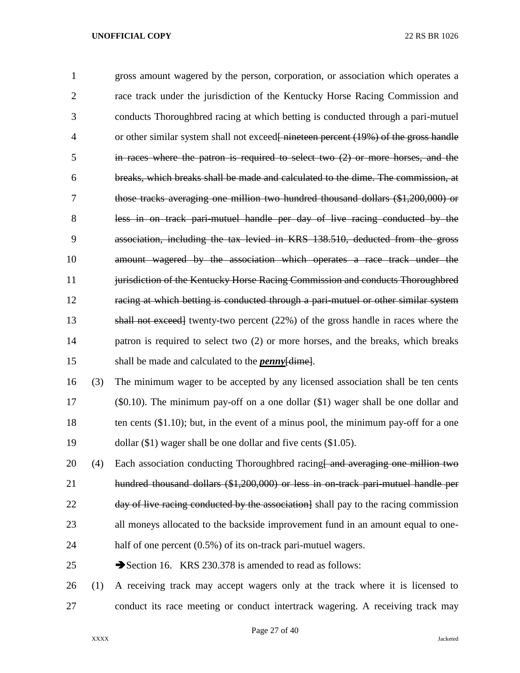gross amount wagered by the person, corporation, or association which operates a race track under the jurisdiction of the Kentucky Horse Racing Commission and conducts Thoroughbred racing at which betting is conducted through a pari-mutuel 4 or other similar system shall not exceed<del>[ nineteen percent (19%) of the gross handle</del> in races where the patron is required to select two (2) or more horses, and the breaks, which breaks shall be made and calculated to the dime. The commission, at those tracks averaging one million two hundred thousand dollars (\$1,200,000) or less in on track pari-mutuel handle per day of live racing conducted by the association, including the tax levied in KRS 138.510, deducted from the gross amount wagered by the association which operates a race track under the 11 jurisdiction of the Kentucky Horse Racing Commission and conducts Thoroughbred racing at which betting is conducted through a pari-mutuel or other similar system shall not exceed] twenty-two percent (22%) of the gross handle in races where the patron is required to select two (2) or more horses, and the breaks, which breaks shall be made and calculated to the *penny*[dime]. (3) The minimum wager to be accepted by any licensed association shall be ten cents (\$0.10). The minimum pay-off on a one dollar (\$1) wager shall be one dollar and 18 ten cents (\$1.10); but, in the event of a minus pool, the minimum pay-off for a one dollar (\$1) wager shall be one dollar and five cents (\$1.05). 20 (4) Each association conducting Thoroughbred racing  $\theta$  and averaging one million two hundred thousand dollars (\$1,200,000) or less in on-track pari-mutuel handle per 22 day of live racing conducted by the association  $\lambda$  shall pay to the racing commission all moneys allocated to the backside improvement fund in an amount equal to one-24 half of one percent (0.5%) of its on-track pari-mutuel wagers.

25 Section 16. KRS 230.378 is amended to read as follows:

 (1) A receiving track may accept wagers only at the track where it is licensed to conduct its race meeting or conduct intertrack wagering. A receiving track may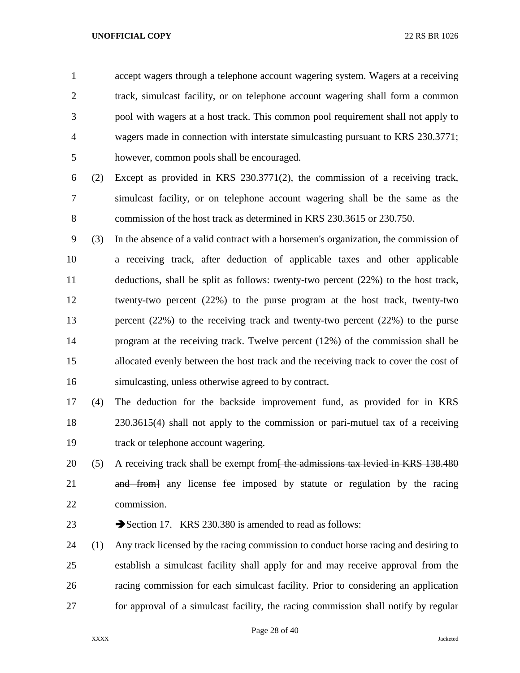accept wagers through a telephone account wagering system. Wagers at a receiving track, simulcast facility, or on telephone account wagering shall form a common pool with wagers at a host track. This common pool requirement shall not apply to wagers made in connection with interstate simulcasting pursuant to KRS 230.3771; however, common pools shall be encouraged.

- (2) Except as provided in KRS 230.3771(2), the commission of a receiving track, simulcast facility, or on telephone account wagering shall be the same as the commission of the host track as determined in KRS 230.3615 or 230.750.
- (3) In the absence of a valid contract with a horsemen's organization, the commission of a receiving track, after deduction of applicable taxes and other applicable deductions, shall be split as follows: twenty-two percent (22%) to the host track, twenty-two percent (22%) to the purse program at the host track, twenty-two percent (22%) to the receiving track and twenty-two percent (22%) to the purse program at the receiving track. Twelve percent (12%) of the commission shall be allocated evenly between the host track and the receiving track to cover the cost of simulcasting, unless otherwise agreed to by contract.
- (4) The deduction for the backside improvement fund, as provided for in KRS 230.3615(4) shall not apply to the commission or pari-mutuel tax of a receiving track or telephone account wagering.
- 20 (5) A receiving track shall be exempt from<del>- the admissions tax levied in KRS 138.480</del> 21 and from any license fee imposed by statute or regulation by the racing commission.
- 23 Section 17. KRS 230.380 is amended to read as follows:
- (1) Any track licensed by the racing commission to conduct horse racing and desiring to establish a simulcast facility shall apply for and may receive approval from the racing commission for each simulcast facility. Prior to considering an application for approval of a simulcast facility, the racing commission shall notify by regular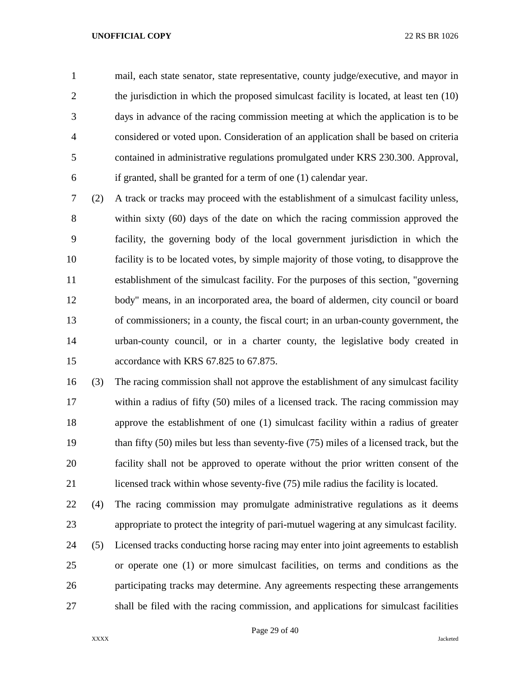mail, each state senator, state representative, county judge/executive, and mayor in 2 the jurisdiction in which the proposed simulcast facility is located, at least ten (10) days in advance of the racing commission meeting at which the application is to be considered or voted upon. Consideration of an application shall be based on criteria contained in administrative regulations promulgated under KRS 230.300. Approval, if granted, shall be granted for a term of one (1) calendar year.

 (2) A track or tracks may proceed with the establishment of a simulcast facility unless, within sixty (60) days of the date on which the racing commission approved the facility, the governing body of the local government jurisdiction in which the facility is to be located votes, by simple majority of those voting, to disapprove the establishment of the simulcast facility. For the purposes of this section, "governing body" means, in an incorporated area, the board of aldermen, city council or board of commissioners; in a county, the fiscal court; in an urban-county government, the urban-county council, or in a charter county, the legislative body created in accordance with KRS 67.825 to 67.875.

 (3) The racing commission shall not approve the establishment of any simulcast facility within a radius of fifty (50) miles of a licensed track. The racing commission may approve the establishment of one (1) simulcast facility within a radius of greater than fifty (50) miles but less than seventy-five (75) miles of a licensed track, but the facility shall not be approved to operate without the prior written consent of the licensed track within whose seventy-five (75) mile radius the facility is located.

 (4) The racing commission may promulgate administrative regulations as it deems appropriate to protect the integrity of pari-mutuel wagering at any simulcast facility.

 (5) Licensed tracks conducting horse racing may enter into joint agreements to establish or operate one (1) or more simulcast facilities, on terms and conditions as the participating tracks may determine. Any agreements respecting these arrangements shall be filed with the racing commission, and applications for simulcast facilities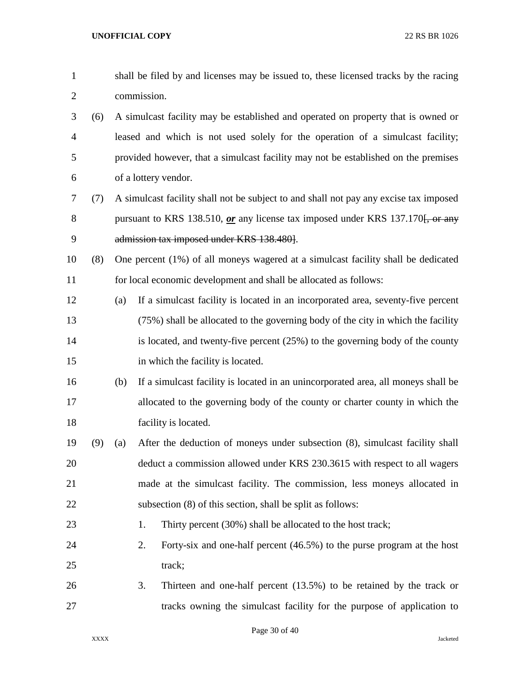| $\mathbf{1}$   |     |     | shall be filed by and licenses may be issued to, these licensed tracks by the racing  |
|----------------|-----|-----|---------------------------------------------------------------------------------------|
| $\overline{2}$ |     |     | commission.                                                                           |
| 3              | (6) |     | A simulcast facility may be established and operated on property that is owned or     |
| $\overline{4}$ |     |     | leased and which is not used solely for the operation of a simulcast facility;        |
| 5              |     |     | provided however, that a simulcast facility may not be established on the premises    |
| 6              |     |     | of a lottery vendor.                                                                  |
| 7              | (7) |     | A simulcast facility shall not be subject to and shall not pay any excise tax imposed |
| 8              |     |     | pursuant to KRS 138.510, or any license tax imposed under KRS 137.170. or any         |
| 9              |     |     | admission tax imposed under KRS 138.480].                                             |
| 10             | (8) |     | One percent (1%) of all moneys wagered at a simulcast facility shall be dedicated     |
| 11             |     |     | for local economic development and shall be allocated as follows:                     |
| 12             |     | (a) | If a simulcast facility is located in an incorporated area, seventy-five percent      |
| 13             |     |     | (75%) shall be allocated to the governing body of the city in which the facility      |
| 14             |     |     | is located, and twenty-five percent $(25%)$ to the governing body of the county       |
| 15             |     |     | in which the facility is located.                                                     |
| 16             |     | (b) | If a simulcast facility is located in an unincorporated area, all moneys shall be     |
| 17             |     |     | allocated to the governing body of the county or charter county in which the          |
| 18             |     |     | facility is located.                                                                  |
| 19             | (9) | (a) | After the deduction of moneys under subsection (8), simulcast facility shall          |
| 20             |     |     | deduct a commission allowed under KRS 230.3615 with respect to all wagers             |
| 21             |     |     | made at the simulcast facility. The commission, less moneys allocated in              |
| 22             |     |     | subsection (8) of this section, shall be split as follows:                            |
| 23             |     |     | Thirty percent (30%) shall be allocated to the host track;<br>1.                      |
| 24             |     |     | 2.<br>Forty-six and one-half percent (46.5%) to the purse program at the host         |
| 25             |     |     | track;                                                                                |
| 26             |     |     | Thirteen and one-half percent $(13.5%)$ to be retained by the track or<br>3.          |
| 27             |     |     | tracks owning the simulcast facility for the purpose of application to                |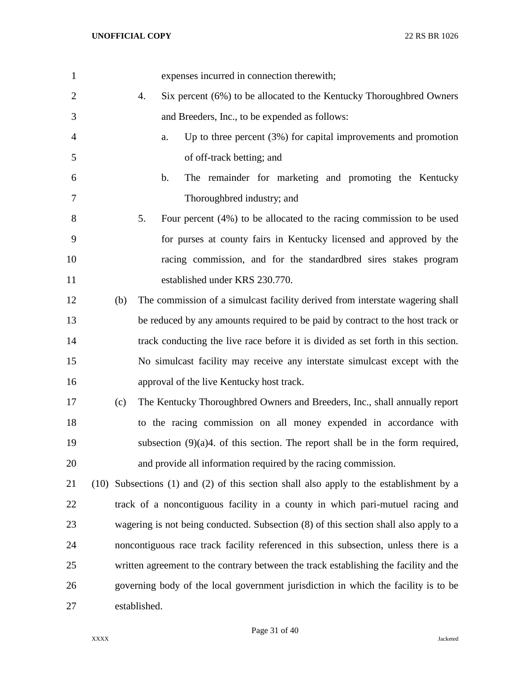| $\mathbf{1}$   | expenses incurred in connection therewith;                                              |
|----------------|-----------------------------------------------------------------------------------------|
| $\overline{2}$ | Six percent (6%) to be allocated to the Kentucky Thoroughbred Owners<br>4.              |
| 3              | and Breeders, Inc., to be expended as follows:                                          |
| 4              | Up to three percent $(3%)$ for capital improvements and promotion<br>a.                 |
| 5              | of off-track betting; and                                                               |
| 6              | The remainder for marketing and promoting the Kentucky<br>b.                            |
| 7              | Thoroughbred industry; and                                                              |
| 8              | 5.<br>Four percent $(4%)$ to be allocated to the racing commission to be used           |
| 9              | for purses at county fairs in Kentucky licensed and approved by the                     |
| 10             | racing commission, and for the standardbred sires stakes program                        |
| 11             | established under KRS 230.770.                                                          |
| 12             | (b)<br>The commission of a simulcast facility derived from interstate wagering shall    |
| 13             | be reduced by any amounts required to be paid by contract to the host track or          |
| 14             | track conducting the live race before it is divided as set forth in this section.       |
| 15             | No simulcast facility may receive any interstate simulcast except with the              |
| 16             | approval of the live Kentucky host track.                                               |
| 17             | (c)<br>The Kentucky Thoroughbred Owners and Breeders, Inc., shall annually report       |
| 18             | to the racing commission on all money expended in accordance with                       |
| 19             | subsection $(9)(a)4$ . of this section. The report shall be in the form required,       |
| 20             | and provide all information required by the racing commission.                          |
| 21             | (10) Subsections (1) and (2) of this section shall also apply to the establishment by a |
| 22             | track of a noncontiguous facility in a county in which pari-mutuel racing and           |
| 23             | wagering is not being conducted. Subsection (8) of this section shall also apply to a   |
| 24             | noncontiguous race track facility referenced in this subsection, unless there is a      |
| 25             | written agreement to the contrary between the track establishing the facility and the   |
| 26             | governing body of the local government jurisdiction in which the facility is to be      |
| 27             | established.                                                                            |

Page 31 of 40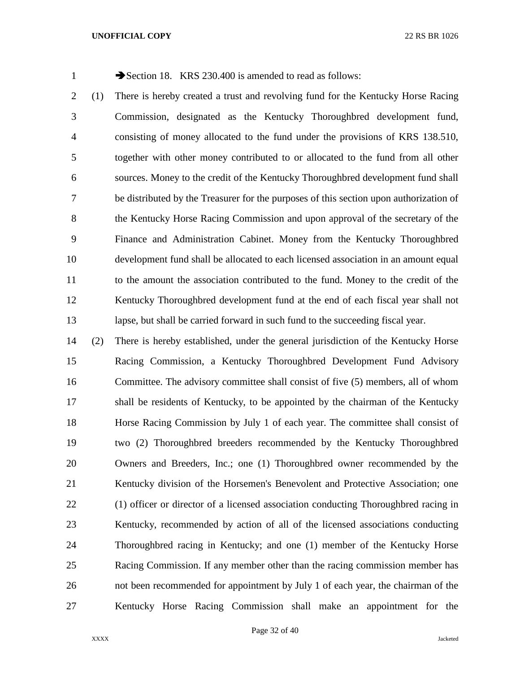1 Section 18. KRS 230.400 is amended to read as follows:

 (1) There is hereby created a trust and revolving fund for the Kentucky Horse Racing Commission, designated as the Kentucky Thoroughbred development fund, consisting of money allocated to the fund under the provisions of KRS 138.510, together with other money contributed to or allocated to the fund from all other sources. Money to the credit of the Kentucky Thoroughbred development fund shall be distributed by the Treasurer for the purposes of this section upon authorization of the Kentucky Horse Racing Commission and upon approval of the secretary of the Finance and Administration Cabinet. Money from the Kentucky Thoroughbred development fund shall be allocated to each licensed association in an amount equal to the amount the association contributed to the fund. Money to the credit of the Kentucky Thoroughbred development fund at the end of each fiscal year shall not lapse, but shall be carried forward in such fund to the succeeding fiscal year.

 (2) There is hereby established, under the general jurisdiction of the Kentucky Horse Racing Commission, a Kentucky Thoroughbred Development Fund Advisory Committee. The advisory committee shall consist of five (5) members, all of whom shall be residents of Kentucky, to be appointed by the chairman of the Kentucky Horse Racing Commission by July 1 of each year. The committee shall consist of two (2) Thoroughbred breeders recommended by the Kentucky Thoroughbred Owners and Breeders, Inc.; one (1) Thoroughbred owner recommended by the Kentucky division of the Horsemen's Benevolent and Protective Association; one (1) officer or director of a licensed association conducting Thoroughbred racing in Kentucky, recommended by action of all of the licensed associations conducting Thoroughbred racing in Kentucky; and one (1) member of the Kentucky Horse Racing Commission. If any member other than the racing commission member has not been recommended for appointment by July 1 of each year, the chairman of the Kentucky Horse Racing Commission shall make an appointment for the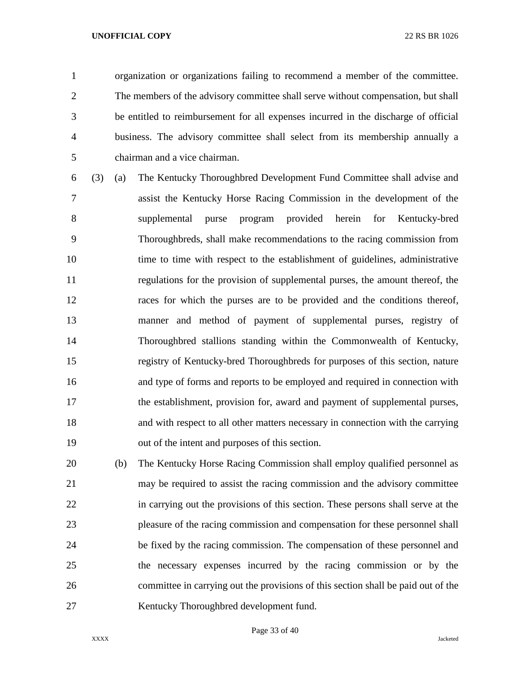organization or organizations failing to recommend a member of the committee. The members of the advisory committee shall serve without compensation, but shall be entitled to reimbursement for all expenses incurred in the discharge of official business. The advisory committee shall select from its membership annually a chairman and a vice chairman.

- (3) (a) The Kentucky Thoroughbred Development Fund Committee shall advise and assist the Kentucky Horse Racing Commission in the development of the supplemental purse program provided herein for Kentucky-bred Thoroughbreds, shall make recommendations to the racing commission from 10 time to time with respect to the establishment of guidelines, administrative regulations for the provision of supplemental purses, the amount thereof, the races for which the purses are to be provided and the conditions thereof, manner and method of payment of supplemental purses, registry of Thoroughbred stallions standing within the Commonwealth of Kentucky, registry of Kentucky-bred Thoroughbreds for purposes of this section, nature and type of forms and reports to be employed and required in connection with the establishment, provision for, award and payment of supplemental purses, and with respect to all other matters necessary in connection with the carrying out of the intent and purposes of this section.
- (b) The Kentucky Horse Racing Commission shall employ qualified personnel as may be required to assist the racing commission and the advisory committee in carrying out the provisions of this section. These persons shall serve at the pleasure of the racing commission and compensation for these personnel shall be fixed by the racing commission. The compensation of these personnel and the necessary expenses incurred by the racing commission or by the committee in carrying out the provisions of this section shall be paid out of the Kentucky Thoroughbred development fund.

Page 33 of 40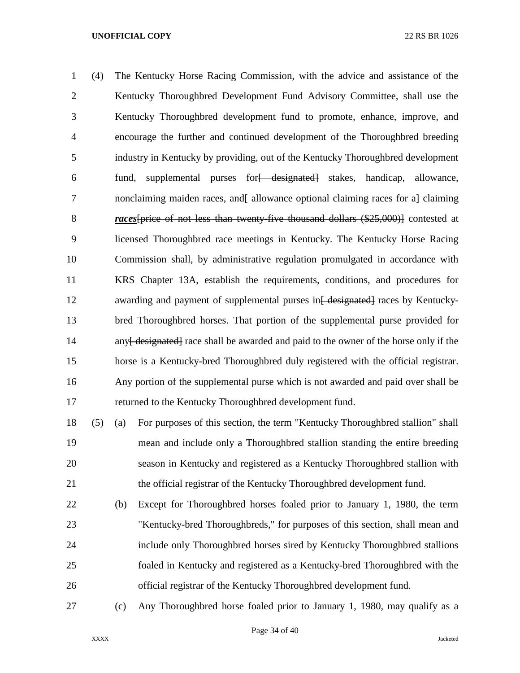(4) The Kentucky Horse Racing Commission, with the advice and assistance of the Kentucky Thoroughbred Development Fund Advisory Committee, shall use the Kentucky Thoroughbred development fund to promote, enhance, improve, and encourage the further and continued development of the Thoroughbred breeding industry in Kentucky by providing, out of the Kentucky Thoroughbred development 6 fund, supplemental purses for designated stakes, handicap, allowance, 7 nonclaiming maiden races, and allowance optional claiming races for a claiming *races*[price of not less than twenty-five thousand dollars (\$25,000)] contested at licensed Thoroughbred race meetings in Kentucky. The Kentucky Horse Racing Commission shall, by administrative regulation promulgated in accordance with KRS Chapter 13A, establish the requirements, conditions, and procedures for 12 awarding and payment of supplemental purses in<del>[ designated]</del> races by Kentucky- bred Thoroughbred horses. That portion of the supplemental purse provided for 14 any [designated] race shall be awarded and paid to the owner of the horse only if the horse is a Kentucky-bred Thoroughbred duly registered with the official registrar. Any portion of the supplemental purse which is not awarded and paid over shall be returned to the Kentucky Thoroughbred development fund.

 (5) (a) For purposes of this section, the term "Kentucky Thoroughbred stallion" shall mean and include only a Thoroughbred stallion standing the entire breeding season in Kentucky and registered as a Kentucky Thoroughbred stallion with the official registrar of the Kentucky Thoroughbred development fund.

- (b) Except for Thoroughbred horses foaled prior to January 1, 1980, the term "Kentucky-bred Thoroughbreds," for purposes of this section, shall mean and include only Thoroughbred horses sired by Kentucky Thoroughbred stallions foaled in Kentucky and registered as a Kentucky-bred Thoroughbred with the official registrar of the Kentucky Thoroughbred development fund.
- (c) Any Thoroughbred horse foaled prior to January 1, 1980, may qualify as a

Page 34 of 40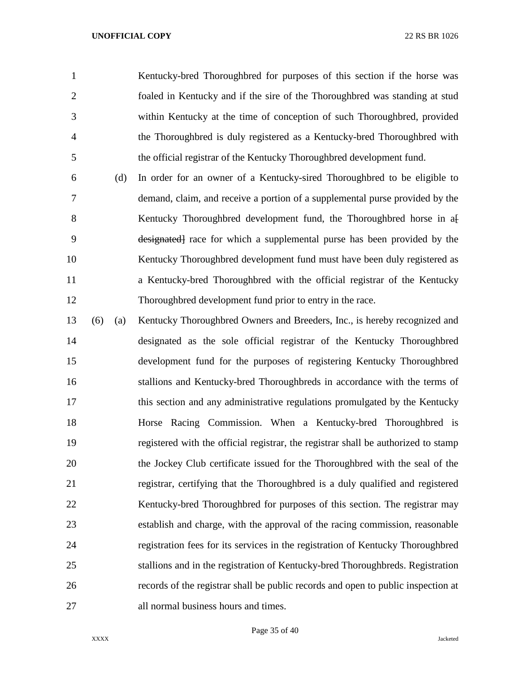Kentucky-bred Thoroughbred for purposes of this section if the horse was foaled in Kentucky and if the sire of the Thoroughbred was standing at stud within Kentucky at the time of conception of such Thoroughbred, provided the Thoroughbred is duly registered as a Kentucky-bred Thoroughbred with the official registrar of the Kentucky Thoroughbred development fund.

 (d) In order for an owner of a Kentucky-sired Thoroughbred to be eligible to demand, claim, and receive a portion of a supplemental purse provided by the 8 Kentucky Thoroughbred development fund, the Thoroughbred horse in a designated] race for which a supplemental purse has been provided by the Kentucky Thoroughbred development fund must have been duly registered as a Kentucky-bred Thoroughbred with the official registrar of the Kentucky Thoroughbred development fund prior to entry in the race.

 (6) (a) Kentucky Thoroughbred Owners and Breeders, Inc., is hereby recognized and designated as the sole official registrar of the Kentucky Thoroughbred development fund for the purposes of registering Kentucky Thoroughbred stallions and Kentucky-bred Thoroughbreds in accordance with the terms of this section and any administrative regulations promulgated by the Kentucky Horse Racing Commission. When a Kentucky-bred Thoroughbred is registered with the official registrar, the registrar shall be authorized to stamp the Jockey Club certificate issued for the Thoroughbred with the seal of the registrar, certifying that the Thoroughbred is a duly qualified and registered Kentucky-bred Thoroughbred for purposes of this section. The registrar may establish and charge, with the approval of the racing commission, reasonable registration fees for its services in the registration of Kentucky Thoroughbred stallions and in the registration of Kentucky-bred Thoroughbreds. Registration records of the registrar shall be public records and open to public inspection at all normal business hours and times.

Page 35 of 40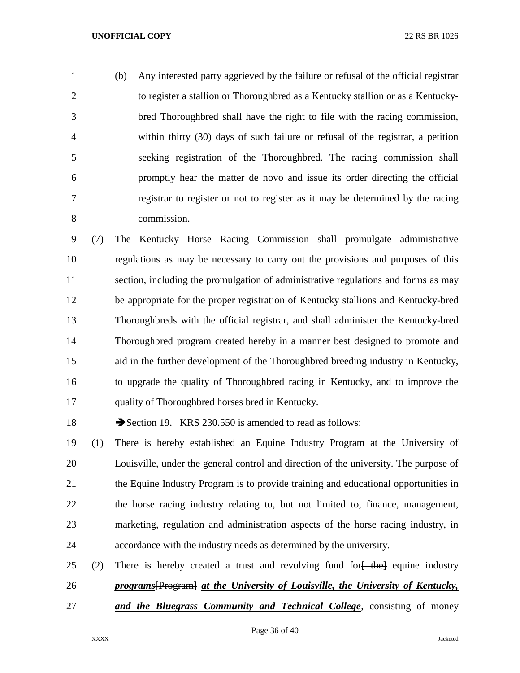(b) Any interested party aggrieved by the failure or refusal of the official registrar to register a stallion or Thoroughbred as a Kentucky stallion or as a Kentucky- bred Thoroughbred shall have the right to file with the racing commission, within thirty (30) days of such failure or refusal of the registrar, a petition seeking registration of the Thoroughbred. The racing commission shall promptly hear the matter de novo and issue its order directing the official registrar to register or not to register as it may be determined by the racing commission.

 (7) The Kentucky Horse Racing Commission shall promulgate administrative regulations as may be necessary to carry out the provisions and purposes of this section, including the promulgation of administrative regulations and forms as may be appropriate for the proper registration of Kentucky stallions and Kentucky-bred Thoroughbreds with the official registrar, and shall administer the Kentucky-bred Thoroughbred program created hereby in a manner best designed to promote and aid in the further development of the Thoroughbred breeding industry in Kentucky, to upgrade the quality of Thoroughbred racing in Kentucky, and to improve the quality of Thoroughbred horses bred in Kentucky.

18 Section 19. KRS 230.550 is amended to read as follows:

 (1) There is hereby established an Equine Industry Program at the University of Louisville, under the general control and direction of the university. The purpose of the Equine Industry Program is to provide training and educational opportunities in the horse racing industry relating to, but not limited to, finance, management, marketing, regulation and administration aspects of the horse racing industry, in accordance with the industry needs as determined by the university.

25 (2) There is hereby created a trust and revolving fund for  $\frac{1}{2}$  the equine industry *programs*[Program] *at the University of Louisville, the University of Kentucky, and the Bluegrass Community and Technical College*, consisting of money

Page 36 of 40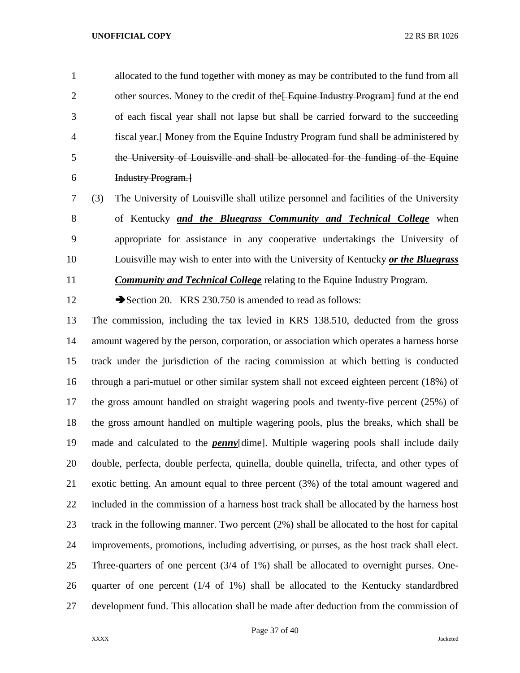allocated to the fund together with money as may be contributed to the fund from all 2 other sources. Money to the credit of the Equine Industry Program fund at the end of each fiscal year shall not lapse but shall be carried forward to the succeeding fiscal year.[ Money from the Equine Industry Program fund shall be administered by the University of Louisville and shall be allocated for the funding of the Equine Industry Program.]

 (3) The University of Louisville shall utilize personnel and facilities of the University of Kentucky *and the Bluegrass Community and Technical College* when appropriate for assistance in any cooperative undertakings the University of Louisville may wish to enter into with the University of Kentucky *or the Bluegrass* 

*Community and Technical College* relating to the Equine Industry Program.

12 Section 20. KRS 230.750 is amended to read as follows:

 The commission, including the tax levied in KRS 138.510, deducted from the gross amount wagered by the person, corporation, or association which operates a harness horse track under the jurisdiction of the racing commission at which betting is conducted through a pari-mutuel or other similar system shall not exceed eighteen percent (18%) of the gross amount handled on straight wagering pools and twenty-five percent (25%) of the gross amount handled on multiple wagering pools, plus the breaks, which shall be made and calculated to the *penny*[dime]. Multiple wagering pools shall include daily double, perfecta, double perfecta, quinella, double quinella, trifecta, and other types of exotic betting. An amount equal to three percent (3%) of the total amount wagered and included in the commission of a harness host track shall be allocated by the harness host track in the following manner. Two percent (2%) shall be allocated to the host for capital improvements, promotions, including advertising, or purses, as the host track shall elect. Three-quarters of one percent (3/4 of 1%) shall be allocated to overnight purses. One- quarter of one percent (1/4 of 1%) shall be allocated to the Kentucky standardbred development fund. This allocation shall be made after deduction from the commission of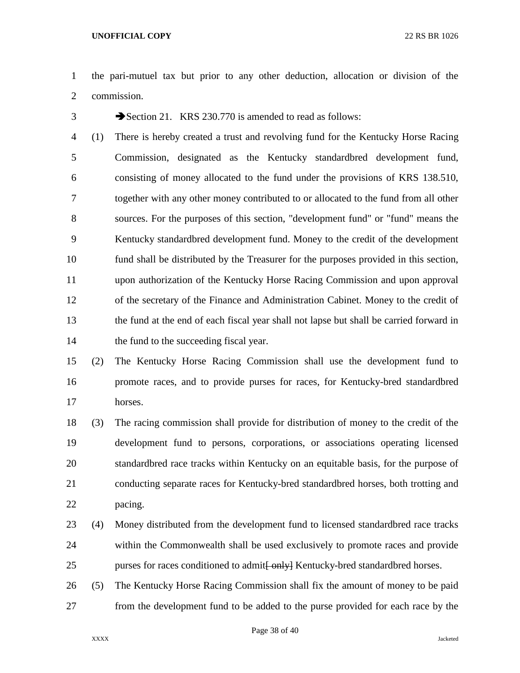- the pari-mutuel tax but prior to any other deduction, allocation or division of the commission.
- 

Section 21. KRS 230.770 is amended to read as follows:

 (1) There is hereby created a trust and revolving fund for the Kentucky Horse Racing Commission, designated as the Kentucky standardbred development fund, consisting of money allocated to the fund under the provisions of KRS 138.510, together with any other money contributed to or allocated to the fund from all other sources. For the purposes of this section, "development fund" or "fund" means the Kentucky standardbred development fund. Money to the credit of the development fund shall be distributed by the Treasurer for the purposes provided in this section, upon authorization of the Kentucky Horse Racing Commission and upon approval of the secretary of the Finance and Administration Cabinet. Money to the credit of the fund at the end of each fiscal year shall not lapse but shall be carried forward in 14 the fund to the succeeding fiscal year.

# (2) The Kentucky Horse Racing Commission shall use the development fund to promote races, and to provide purses for races, for Kentucky-bred standardbred horses.

 (3) The racing commission shall provide for distribution of money to the credit of the development fund to persons, corporations, or associations operating licensed standardbred race tracks within Kentucky on an equitable basis, for the purpose of conducting separate races for Kentucky-bred standardbred horses, both trotting and pacing.

- (4) Money distributed from the development fund to licensed standardbred race tracks within the Commonwealth shall be used exclusively to promote races and provide 25 purses for races conditioned to admit  $\frac{1}{2}$  Kentucky-bred standardbred horses.
- (5) The Kentucky Horse Racing Commission shall fix the amount of money to be paid from the development fund to be added to the purse provided for each race by the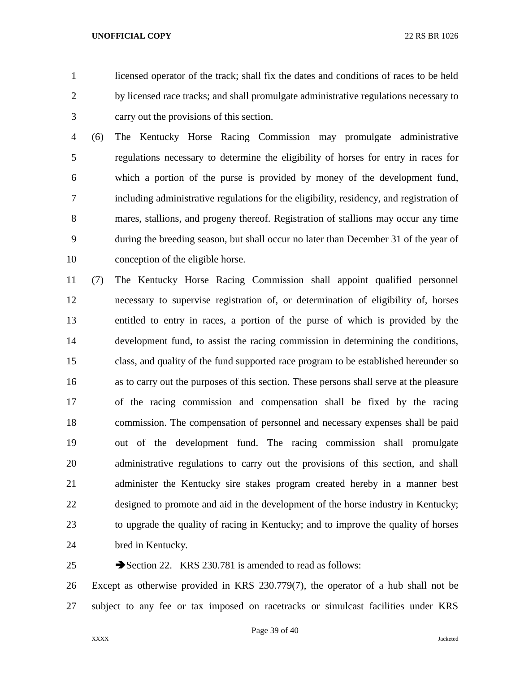licensed operator of the track; shall fix the dates and conditions of races to be held by licensed race tracks; and shall promulgate administrative regulations necessary to carry out the provisions of this section.

 (6) The Kentucky Horse Racing Commission may promulgate administrative regulations necessary to determine the eligibility of horses for entry in races for which a portion of the purse is provided by money of the development fund, including administrative regulations for the eligibility, residency, and registration of mares, stallions, and progeny thereof. Registration of stallions may occur any time during the breeding season, but shall occur no later than December 31 of the year of conception of the eligible horse.

 (7) The Kentucky Horse Racing Commission shall appoint qualified personnel necessary to supervise registration of, or determination of eligibility of, horses entitled to entry in races, a portion of the purse of which is provided by the development fund, to assist the racing commission in determining the conditions, class, and quality of the fund supported race program to be established hereunder so as to carry out the purposes of this section. These persons shall serve at the pleasure of the racing commission and compensation shall be fixed by the racing commission. The compensation of personnel and necessary expenses shall be paid out of the development fund. The racing commission shall promulgate administrative regulations to carry out the provisions of this section, and shall administer the Kentucky sire stakes program created hereby in a manner best designed to promote and aid in the development of the horse industry in Kentucky; to upgrade the quality of racing in Kentucky; and to improve the quality of horses bred in Kentucky.

25 Section 22. KRS 230.781 is amended to read as follows:

 Except as otherwise provided in KRS 230.779(7), the operator of a hub shall not be subject to any fee or tax imposed on racetracks or simulcast facilities under KRS